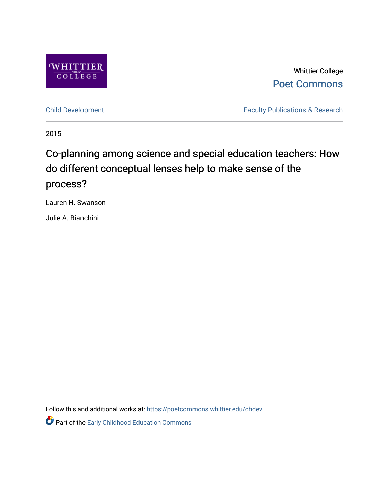

Whittier College [Poet Commons](https://poetcommons.whittier.edu/) 

[Child Development](https://poetcommons.whittier.edu/chdev) **Faculty Publications & Research** 

2015

# Co-planning among science and special education teachers: How do different conceptual lenses help to make sense of the process?

Lauren H. Swanson

Julie A. Bianchini

Follow this and additional works at: [https://poetcommons.whittier.edu/chdev](https://poetcommons.whittier.edu/chdev?utm_source=poetcommons.whittier.edu%2Fchdev%2F2&utm_medium=PDF&utm_campaign=PDFCoverPages) 

Part of the [Early Childhood Education Commons](http://network.bepress.com/hgg/discipline/1377?utm_source=poetcommons.whittier.edu%2Fchdev%2F2&utm_medium=PDF&utm_campaign=PDFCoverPages)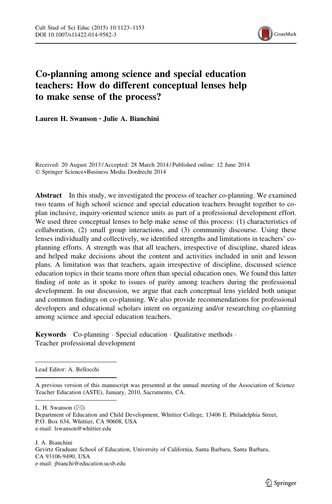

# Co-planning among science and special education teachers: How do different conceptual lenses help to make sense of the process?

Lauren H. Swanson • Julie A. Bianchini

Received: 20 August 2013 / Accepted: 28 March 2014 / Published online: 12 June 2014 - Springer Science+Business Media Dordrecht 2014

Abstract In this study, we investigated the process of teacher co-planning. We examined two teams of high school science and special education teachers brought together to coplan inclusive, inquiry-oriented science units as part of a professional development effort. We used three conceptual lenses to help make sense of this process: (1) characteristics of collaboration, (2) small group interactions, and (3) community discourse. Using these lenses individually and collectively, we identified strengths and limitations in teachers' coplanning efforts. A strength was that all teachers, irrespective of discipline, shared ideas and helped make decisions about the content and activities included in unit and lesson plans. A limitation was that teachers, again irrespective of discipline, discussed science education topics in their teams more often than special education ones. We found this latter finding of note as it spoke to issues of parity among teachers during the professional development. In our discussion, we argue that each conceptual lens yielded both unique and common findings on co-planning. We also provide recommendations for professional developers and educational scholars intent on organizing and/or researching co-planning among science and special education teachers.

Keywords Co-planning · Special education · Qualitative methods · Teacher professional development

Lead Editor: A. Bellocchi

L. H. Swanson  $(\boxtimes)$ 

A previous version of this manuscript was presented at the annual meeting of the Association of Science Teacher Education (ASTE), January, 2010, Sacramento, CA.

Department of Education and Child Development, Whittier College, 13406 E. Philadelphia Street, P.O. Box 634, Whittier, CA 90608, USA e-mail: lswanson@whittier.edu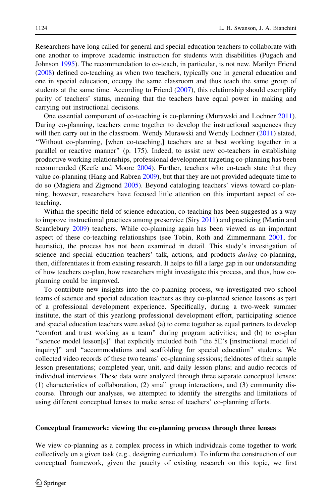Researchers have long called for general and special education teachers to collaborate with one another to improve academic instruction for students with disabilities (Pugach and Johnson [1995](#page-30-0)). The recommendation to co-teach, in particular, is not new. Marilyn Friend ([2008\)](#page-30-0) defined co-teaching as when two teachers, typically one in general education and one in special education, occupy the same classroom and thus teach the same group of students at the same time. According to Friend [\(2007\)](#page-30-0), this relationship should exemplify parity of teachers' status, meaning that the teachers have equal power in making and carrying out instructional decisions.

One essential component of co-teaching is co-planning (Murawski and Lochner [2011](#page-30-0)). During co-planning, teachers come together to develop the instructional sequences they will then carry out in the classroom. Wendy Murawski and Wendy Lochner [\(2011](#page-30-0)) stated, ''Without co-planning, [when co-teaching,] teachers are at best working together in a parallel or reactive manner'' (p. 175). Indeed, to assist new co-teachers in establishing productive working relationships, professional development targeting co-planning has been recommended (Keefe and Moore [2004\)](#page-30-0). Further, teachers who co-teach state that they value co-planning (Hang and Rabren [2009\)](#page-30-0), but that they are not provided adequate time to do so (Magiera and Zigmond [2005\)](#page-30-0). Beyond cataloging teachers' views toward co-planning, however, researchers have focused little attention on this important aspect of coteaching.

Within the specific field of science education, co-teaching has been suggested as a way to improve instructional practices among preservice (Siry [2011\)](#page-30-0) and practicing (Martin and Scantlebury [2009](#page-30-0)) teachers. While co-planning again has been viewed as an important aspect of these co-teaching relationships (see Tobin, Roth and Zimmermann [2001](#page-30-0), for heuristic), the process has not been examined in detail. This study's investigation of science and special education teachers' talk, actions, and products *during* co-planning, then, differentiates it from existing research. It helps to fill a large gap in our understanding of how teachers co-plan, how researchers might investigate this process, and thus, how coplanning could be improved.

To contribute new insights into the co-planning process, we investigated two school teams of science and special education teachers as they co-planned science lessons as part of a professional development experience. Specifically, during a two-week summer institute, the start of this yearlong professional development effort, participating science and special education teachers were asked (a) to come together as equal partners to develop ''comfort and trust working as a team'' during program activities; and (b) to co-plan "science model lesson[s]" that explicitly included both "the 5E's [instructional model of inquiry]'' and ''accommodations and scaffolding for special education'' students. We collected video records of these two teams' co-planning sessions; fieldnotes of their sample lesson presentations; completed year, unit, and daily lesson plans; and audio records of individual interviews. These data were analyzed through three separate conceptual lenses: (1) characteristics of collaboration, (2) small group interactions, and (3) community discourse. Through our analyses, we attempted to identify the strengths and limitations of using different conceptual lenses to make sense of teachers' co-planning efforts.

#### Conceptual framework: viewing the co-planning process through three lenses

We view co-planning as a complex process in which individuals come together to work collectively on a given task (e.g., designing curriculum). To inform the construction of our conceptual framework, given the paucity of existing research on this topic, we first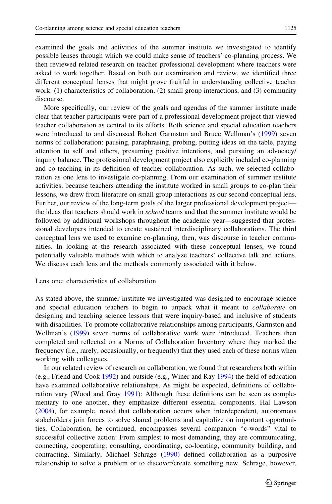examined the goals and activities of the summer institute we investigated to identify possible lenses through which we could make sense of teachers' co-planning process. We then reviewed related research on teacher professional development where teachers were asked to work together. Based on both our examination and review, we identified three different conceptual lenses that might prove fruitful in understanding collective teacher work: (1) characteristics of collaboration, (2) small group interactions, and (3) community discourse.

More specifically, our review of the goals and agendas of the summer institute made clear that teacher participants were part of a professional development project that viewed teacher collaboration as central to its efforts. Both science and special education teachers were introduced to and discussed Robert Garmston and Bruce Wellman's [\(1999](#page-30-0)) seven norms of collaboration: pausing, paraphrasing, probing, putting ideas on the table, paying attention to self and others, presuming positive intentions, and pursuing an advocacy/ inquiry balance. The professional development project also explicitly included co-planning and co-teaching in its definition of teacher collaboration. As such, we selected collaboration as one lens to investigate co-planning. From our examination of summer institute activities, because teachers attending the institute worked in small groups to co-plan their lessons, we drew from literature on small group interactions as our second conceptual lens. Further, our review of the long-term goals of the larger professional development project the ideas that teachers should work in *school* teams and that the summer institute would be followed by additional workshops throughout the academic year—suggested that professional developers intended to create sustained interdisciplinary collaborations. The third conceptual lens we used to examine co-planning, then, was discourse in teacher communities. In looking at the research associated with these conceptual lenses, we found potentially valuable methods with which to analyze teachers' collective talk and actions. We discuss each lens and the methods commonly associated with it below.

#### Lens one: characteristics of collaboration

As stated above, the summer institute we investigated was designed to encourage science and special education teachers to begin to unpack what it meant to *collaborate* on designing and teaching science lessons that were inquiry-based and inclusive of students with disabilities. To promote collaborative relationships among participants, Garmston and Wellman's [\(1999\)](#page-30-0) seven norms of collaborative work were introduced. Teachers then completed and reflected on a Norms of Collaboration Inventory where they marked the frequency (i.e., rarely, occasionally, or frequently) that they used each of these norms when working with colleagues.

In our related review of research on collaboration, we found that researchers both within (e.g., Friend and Cook [1992\)](#page-30-0) and outside (e.g., Winer and Ray [1994](#page-30-0)) the field of education have examined collaborative relationships. As might be expected, definitions of collaboration vary (Wood and Gray [1991\)](#page-31-0): Although these definitions can be seen as complementary to one another, they emphasize different essential components. Hal Lawson ([2004\)](#page-30-0), for example, noted that collaboration occurs when interdependent, autonomous stakeholders join forces to solve shared problems and capitalize on important opportunities. Collaboration, he continued, encompasses several companion ''c-words'' vital to successful collective action: From simplest to most demanding, they are communicating, connecting, cooperating, consulting, coordinating, co-locating, community building, and contracting. Similarly, Michael Schrage [\(1990\)](#page-30-0) defined collaboration as a purposive relationship to solve a problem or to discover/create something new. Schrage, however,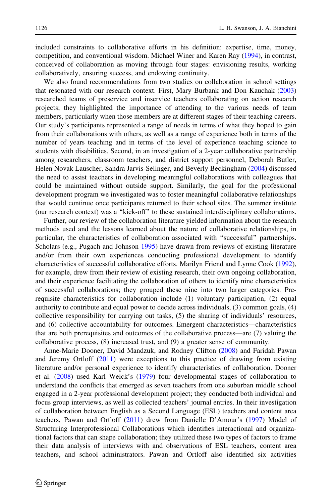included constraints to collaborative efforts in his definition: expertise, time, money, competition, and conventional wisdom. Michael Winer and Karen Ray [\(1994](#page-30-0)), in contrast, conceived of collaboration as moving through four stages: envisioning results, working collaboratively, ensuring success, and endowing continuity.

We also found recommendations from two studies on collaboration in school settings that resonated with our research context. First, Mary Burbank and Don Kauchak ([2003](#page-29-0)) researched teams of preservice and inservice teachers collaborating on action research projects; they highlighted the importance of attending to the various needs of team members, particularly when those members are at different stages of their teaching careers. Our study's participants represented a range of needs in terms of what they hoped to gain from their collaborations with others, as well as a range of experience both in terms of the number of years teaching and in terms of the level of experience teaching science to students with disabilities. Second, in an investigation of a 2-year collaborative partnership among researchers, classroom teachers, and district support personnel, Deborah Butler, Helen Novak Lauscher, Sandra Jarvis-Selinger, and Beverly Beckingham ([2004\)](#page-29-0) discussed the need to assist teachers in developing meaningful collaborations with colleagues that could be maintained without outside support. Similarly, the goal for the professional development program we investigated was to foster meaningful collaborative relationships that would continue once participants returned to their school sites. The summer institute (our research context) was a ''kick-off'' to these sustained interdisciplinary collaborations.

Further, our review of the collaboration literature yielded information about the research methods used and the lessons learned about the nature of collaborative relationships, in particular, the characteristics of collaboration associated with ''successful'' partnerships. Scholars (e.g., Pugach and Johnson [1995\)](#page-30-0) have drawn from reviews of existing literature and/or from their own experiences conducting professional development to identify characteristics of successful collaborative efforts. Marilyn Friend and Lynne Cook [\(1992](#page-30-0)), for example, drew from their review of existing research, their own ongoing collaboration, and their experience facilitating the collaboration of others to identify nine characteristics of successful collaborations; they grouped these nine into two larger categories. Prerequisite characteristics for collaboration include (1) voluntary participation, (2) equal authority to contribute and equal power to decide across individuals, (3) common goals, (4) collective responsibility for carrying out tasks, (5) the sharing of individuals' resources, and (6) collective accountability for outcomes. Emergent characteristics—characteristics that are both prerequisites and outcomes of the collaborative process—are (7) valuing the collaborative process, (8) increased trust, and (9) a greater sense of community.

Anne-Marie Dooner, David Mandzuk, and Rodney Clifton ([2008\)](#page-30-0) and Faridah Pawan and Jeremy Ortloff [\(2011](#page-30-0)) were exceptions to this practice of drawing from existing literature and/or personal experience to identify characteristics of collaboration. Dooner et al. ([2008\)](#page-30-0) used Karl Weick's ([1979\)](#page-30-0) four developmental stages of collaboration to understand the conflicts that emerged as seven teachers from one suburban middle school engaged in a 2-year professional development project; they conducted both individual and focus group interviews, as well as collected teachers' journal entries. In their investigation of collaboration between English as a Second Language (ESL) teachers and content area teachers, Pawan and Ortloff [\(2011](#page-30-0)) drew from Danielle D'Amour's ([1997\)](#page-29-0) Model of Structuring Interprofessional Collaborations which identifies interactional and organizational factors that can shape collaboration; they utilized these two types of factors to frame their data analysis of interviews with and observations of ESL teachers, content area teachers, and school administrators. Pawan and Ortloff also identified six activities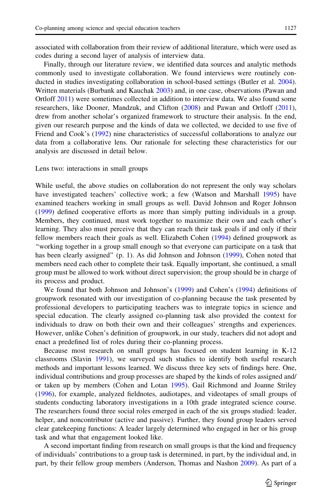associated with collaboration from their review of additional literature, which were used as codes during a second layer of analysis of interview data.

Finally, through our literature review, we identified data sources and analytic methods commonly used to investigate collaboration. We found interviews were routinely conducted in studies investigating collaboration in school-based settings (Butler et al. [2004](#page-29-0)). Written materials (Burbank and Kauchak [2003\)](#page-29-0) and, in one case, observations (Pawan and Ortloff [2011\)](#page-30-0) were sometimes collected in addition to interview data. We also found some researchers, like Dooner, Mandzuk, and Clifton [\(2008](#page-30-0)) and Pawan and Ortloff [\(2011](#page-30-0)), drew from another scholar's organized framework to structure their analysis. In the end, given our research purpose and the kinds of data we collected, we decided to use five of Friend and Cook's [\(1992\)](#page-30-0) nine characteristics of successful collaborations to analyze our data from a collaborative lens. Our rationale for selecting these characteristics for our analysis are discussed in detail below.

Lens two: interactions in small groups

While useful, the above studies on collaboration do not represent the only way scholars have investigated teachers' collective work; a few (Watson and Marshall [1995\)](#page-30-0) have examined teachers working in small groups as well. David Johnson and Roger Johnson ([1999\)](#page-30-0) defined cooperative efforts as more than simply putting individuals in a group. Members, they continued, must work together to maximize their own and each other's learning. They also must perceive that they can reach their task goals if and only if their fellow members reach their goals as well. Elizabeth Cohen ([1994](#page-29-0)) defined groupwork as ''working together in a group small enough so that everyone can participate on a task that has been clearly assigned" (p. 1). As did Johnson and Johnson [\(1999](#page-30-0)), Cohen noted that members need each other to complete their task. Equally important, she continued, a small group must be allowed to work without direct supervision; the group should be in charge of its process and product.

We found that both Johnson and Johnson's ([1999\)](#page-30-0) and Cohen's ([1994\)](#page-29-0) definitions of groupwork resonated with our investigation of co-planning because the task presented by professional developers to participating teachers was to integrate topics in science and special education. The clearly assigned co-planning task also provided the context for individuals to draw on both their own and their colleagues' strengths and experiences. However, unlike Cohen's definition of groupwork, in our study, teachers did not adopt and enact a predefined list of roles during their co-planning process.

Because most research on small groups has focused on student learning in K-12 classrooms (Slavin [1991](#page-30-0)), we surveyed such studies to identify both useful research methods and important lessons learned. We discuss three key sets of findings here. One, individual contributions and group processes are shaped by the kinds of roles assigned and/ or taken up by members (Cohen and Lotan [1995](#page-29-0)). Gail Richmond and Joanne Striley ([1996\)](#page-30-0), for example, analyzed fieldnotes, audiotapes, and videotapes of small groups of students conducting laboratory investigations in a 10th grade integrated science course. The researchers found three social roles emerged in each of the six groups studied: leader, helper, and noncontributor (active and passive). Further, they found group leaders served clear gatekeeping functions: A leader largely determined who engaged in her or his group task and what that engagement looked like.

A second important finding from research on small groups is that the kind and frequency of individuals' contributions to a group task is determined, in part, by the individual and, in part, by their fellow group members (Anderson, Thomas and Nashon [2009](#page-29-0)). As part of a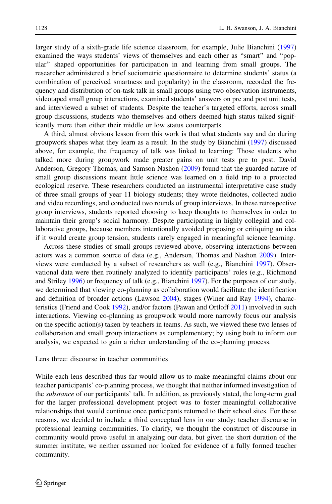larger study of a sixth-grade life science classroom, for example, Julie Bianchini ([1997](#page-29-0)) examined the ways students' views of themselves and each other as ''smart'' and ''popular'' shaped opportunities for participation in and learning from small groups. The researcher administered a brief sociometric questionnaire to determine students' status (a combination of perceived smartness and popularity) in the classroom, recorded the frequency and distribution of on-task talk in small groups using two observation instruments, videotaped small group interactions, examined students' answers on pre and post unit tests, and interviewed a subset of students. Despite the teacher's targeted efforts, across small group discussions, students who themselves and others deemed high status talked significantly more than either their middle or low status counterparts.

A third, almost obvious lesson from this work is that what students say and do during groupwork shapes what they learn as a result. In the study by Bianchini [\(1997](#page-29-0)) discussed above, for example, the frequency of talk was linked to learning: Those students who talked more during groupwork made greater gains on unit tests pre to post. David Anderson, Gregory Thomas, and Samson Nashon [\(2009](#page-29-0)) found that the guarded nature of small group discussions meant little science was learned on a field trip to a protected ecological reserve. These researchers conducted an instrumental interpretative case study of three small groups of year 11 biology students; they wrote fieldnotes, collected audio and video recordings, and conducted two rounds of group interviews. In these retrospective group interviews, students reported choosing to keep thoughts to themselves in order to maintain their group's social harmony. Despite participating in highly collegial and collaborative groups, because members intentionally avoided proposing or critiquing an idea if it would create group tension, students rarely engaged in meaningful science learning.

Across these studies of small groups reviewed above, observing interactions between actors was a common source of data (e.g., Anderson, Thomas and Nashon [2009](#page-29-0)). Interviews were conducted by a subset of researchers as well (e.g., Bianchini [1997\)](#page-29-0). Observational data were then routinely analyzed to identify participants' roles (e.g., Richmond and Striley [1996](#page-30-0)) or frequency of talk (e.g., Bianchini [1997\)](#page-29-0). For the purposes of our study, we determined that viewing co-planning as collaboration would facilitate the identification and definition of broader actions (Lawson [2004](#page-30-0)), stages (Winer and Ray [1994\)](#page-30-0), characteristics (Friend and Cook [1992\)](#page-30-0), and/or factors (Pawan and Ortloff [2011](#page-30-0)) involved in such interactions. Viewing co-planning as groupwork would more narrowly focus our analysis on the specific action(s) taken by teachers in teams. As such, we viewed these two lenses of collaboration and small group interactions as complementary; by using both to inform our analysis, we expected to gain a richer understanding of the co-planning process.

#### Lens three: discourse in teacher communities

While each lens described thus far would allow us to make meaningful claims about our teacher participants' co-planning process, we thought that neither informed investigation of the *substance* of our participants' talk. In addition, as previously stated, the long-term goal for the larger professional development project was to foster meaningful collaborative relationships that would continue once participants returned to their school sites. For these reasons, we decided to include a third conceptual lens in our study: teacher discourse in professional learning communities. To clarify, we thought the construct of discourse in community would prove useful in analyzing our data, but given the short duration of the summer institute, we neither assumed nor looked for evidence of a fully formed teacher community.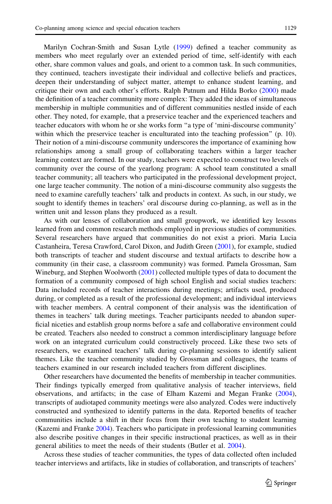Marilyn Cochran-Smith and Susan Lytle ([1999\)](#page-29-0) defined a teacher community as members who meet regularly over an extended period of time, self-identify with each other, share common values and goals, and orient to a common task. In such communities, they continued, teachers investigate their individual and collective beliefs and practices, deepen their understanding of subject matter, attempt to enhance student learning, and critique their own and each other's efforts. Ralph Putnum and Hilda Borko ([2000\)](#page-30-0) made the definition of a teacher community more complex: They added the ideas of simultaneous membership in multiple communities and of different communities nestled inside of each other. They noted, for example, that a preservice teacher and the experienced teachers and teacher educators with whom he or she works form ''a type of 'mini-discourse community' within which the preservice teacher is enculturated into the teaching profession" (p. 10). Their notion of a mini-discourse community underscores the importance of examining how relationships among a small group of collaborating teachers within a larger teacher learning context are formed. In our study, teachers were expected to construct two levels of community over the course of the yearlong program: A school team constituted a small teacher community; all teachers who participated in the professional development project, one large teacher community. The notion of a mini-discourse community also suggests the need to examine carefully teachers' talk and products in context. As such, in our study, we sought to identify themes in teachers' oral discourse during co-planning, as well as in the written unit and lesson plans they produced as a result.

As with our lenses of collaboration and small groupwork, we identified key lessons learned from and common research methods employed in previous studies of communities. Several researchers have argued that communities do not exist a priori. Maria Lucia Castanheira, Teresa Crawford, Carol Dixon, and Judith Green ([2001\)](#page-29-0), for example, studied both transcripts of teacher and student discourse and textual artifacts to describe how a community (in their case, a classroom community) was formed. Pamela Grossman, Sam Wineburg, and Stephen Woolworth [\(2001](#page-30-0)) collected multiple types of data to document the formation of a community composed of high school English and social studies teachers: Data included records of teacher interactions during meetings; artifacts used, produced during, or completed as a result of the professional development; and individual interviews with teacher members. A central component of their analysis was the identification of themes in teachers' talk during meetings. Teacher participants needed to abandon superficial niceties and establish group norms before a safe and collaborative environment could be created. Teachers also needed to construct a common interdisciplinary language before work on an integrated curriculum could constructively proceed. Like these two sets of researchers, we examined teachers' talk during co-planning sessions to identify salient themes. Like the teacher community studied by Grossman and colleagues, the teams of teachers examined in our research included teachers from different disciplines.

Other researchers have documented the benefits of membership in teacher communities. Their findings typically emerged from qualitative analysis of teacher interviews, field observations, and artifacts; in the case of Elham Kazemi and Megan Franke [\(2004](#page-30-0)), transcripts of audiotaped community meetings were also analyzed. Codes were inductively constructed and synthesized to identify patterns in the data. Reported benefits of teacher communities include a shift in their focus from their own teaching to student learning (Kazemi and Franke [2004\)](#page-30-0). Teachers who participate in professional learning communities also describe positive changes in their specific instructional practices, as well as in their general abilities to meet the needs of their students (Butler et al. [2004](#page-29-0)).

Across these studies of teacher communities, the types of data collected often included teacher interviews and artifacts, like in studies of collaboration, and transcripts of teachers'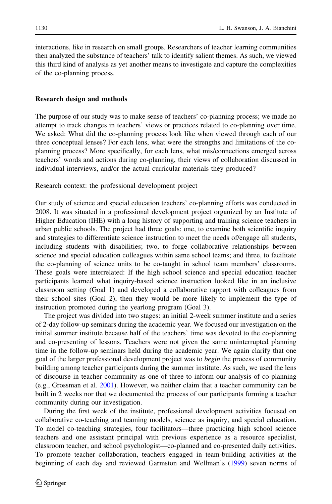interactions, like in research on small groups. Researchers of teacher learning communities then analyzed the substance of teachers' talk to identify salient themes. As such, we viewed this third kind of analysis as yet another means to investigate and capture the complexities of the co-planning process.

#### Research design and methods

The purpose of our study was to make sense of teachers' co-planning process; we made no attempt to track changes in teachers' views or practices related to co-planning over time. We asked: What did the co-planning process look like when viewed through each of our three conceptual lenses? For each lens, what were the strengths and limitations of the coplanning process? More specifically, for each lens, what mis/connections emerged across teachers' words and actions during co-planning, their views of collaboration discussed in individual interviews, and/or the actual curricular materials they produced?

Research context: the professional development project

Our study of science and special education teachers' co-planning efforts was conducted in 2008. It was situated in a professional development project organized by an Institute of Higher Education (IHE) with a long history of supporting and training science teachers in urban public schools. The project had three goals: one, to examine both scientific inquiry and strategies to differentiate science instruction to meet the needs of/engage all students, including students with disabilities; two, to forge collaborative relationships between science and special education colleagues within same school teams; and three, to facilitate the co-planning of science units to be co-taught in school team members' classrooms. These goals were interrelated: If the high school science and special education teacher participants learned what inquiry-based science instruction looked like in an inclusive classroom setting (Goal 1) and developed a collaborative rapport with colleagues from their school sites (Goal 2), then they would be more likely to implement the type of instruction promoted during the yearlong program (Goal 3).

The project was divided into two stages: an initial 2-week summer institute and a series of 2-day follow-up seminars during the academic year. We focused our investigation on the initial summer institute because half of the teachers' time was devoted to the co-planning and co-presenting of lessons. Teachers were not given the same uninterrupted planning time in the follow-up seminars held during the academic year. We again clarify that one goal of the larger professional development project was to *begin* the process of community building among teacher participants during the summer institute. As such, we used the lens of discourse in teacher community as one of three to inform our analysis of co-planning (e.g., Grossman et al. [2001\)](#page-30-0). However, we neither claim that a teacher community can be built in 2 weeks nor that we documented the process of our participants forming a teacher community during our investigation.

During the first week of the institute, professional development activities focused on collaborative co-teaching and teaming models, science as inquiry, and special education. To model co-teaching strategies, four facilitators—three practicing high school science teachers and one assistant principal with previous experience as a resource specialist, classroom teacher, and school psychologist—co-planned and co-presented daily activities. To promote teacher collaboration, teachers engaged in team-building activities at the beginning of each day and reviewed Garmston and Wellman's [\(1999\)](#page-30-0) seven norms of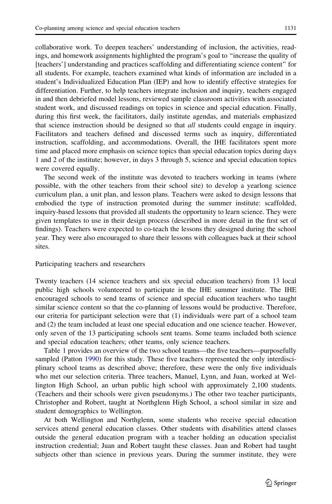collaborative work. To deepen teachers' understanding of inclusion, the activities, readings, and homework assignments highlighted the program's goal to ''increase the quality of [teachers'] understanding and practices scaffolding and differentiating science content'' for all students. For example, teachers examined what kinds of information are included in a student's Individualized Education Plan (IEP) and how to identify effective strategies for differentiation. Further, to help teachers integrate inclusion and inquiry, teachers engaged in and then debriefed model lessons, reviewed sample classroom activities with associated student work, and discussed readings on topics in science and special education. Finally, during this first week, the facilitators, daily institute agendas, and materials emphasized that science instruction should be designed so that *all* students could engage in inquiry. Facilitators and teachers defined and discussed terms such as inquiry, differentiated instruction, scaffolding, and accommodations. Overall, the IHE facilitators spent more time and placed more emphasis on science topics than special education topics during days 1 and 2 of the institute; however, in days 3 through 5, science and special education topics were covered equally.

The second week of the institute was devoted to teachers working in teams (where possible, with the other teachers from their school site) to develop a yearlong science curriculum plan, a unit plan, and lesson plans. Teachers were asked to design lessons that embodied the type of instruction promoted during the summer institute: scaffolded, inquiry-based lessons that provided all students the opportunity to learn science. They were given templates to use in their design process (described in more detail in the first set of findings). Teachers were expected to co-teach the lessons they designed during the school year. They were also encouraged to share their lessons with colleagues back at their school sites.

#### Participating teachers and researchers

Twenty teachers (14 science teachers and six special education teachers) from 13 local public high schools volunteered to participate in the IHE summer institute. The IHE encouraged schools to send teams of science and special education teachers who taught similar science content so that the co-planning of lessons would be productive. Therefore, our criteria for participant selection were that (1) individuals were part of a school team and (2) the team included at least one special education and one science teacher. However, only seven of the 13 participating schools sent teams. Some teams included both science and special education teachers; other teams, only science teachers.

Table [1](#page-10-0) provides an overview of the two school teams—the five teachers—purposefully sampled (Patton [1990](#page-30-0)) for this study. These five teachers represented the only interdisciplinary school teams as described above; therefore, these were the only five individuals who met our selection criteria. Three teachers, Manuel, Lynn, and Juan, worked at Wellington High School, an urban public high school with approximately 2,100 students. (Teachers and their schools were given pseudonyms.) The other two teacher participants, Christopher and Robert, taught at Northglenn High School, a school similar in size and student demographics to Wellington.

At both Wellington and Northglenn, some students who receive special education services attend general education classes. Other students with disabilities attend classes outside the general education program with a teacher holding an education specialist instruction credential; Juan and Robert taught these classes. Juan and Robert had taught subjects other than science in previous years. During the summer institute, they were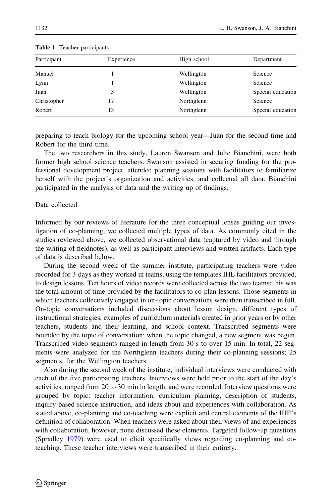| Participant | Experience | High school | Department        |
|-------------|------------|-------------|-------------------|
| Manuel      |            | Wellington  | Science           |
| Lynn        |            | Wellington  | Science           |
| Juan        | 3          | Wellington  | Special education |
| Christopher | 17         | Northglenn  | Science           |
| Robert      | 13         | Northglenn  | Special education |

<span id="page-10-0"></span>Table 1 Teacher participants

preparing to teach biology for the upcoming school year—Juan for the second time and Robert for the third time.

The two researchers in this study, Lauren Swanson and Julie Bianchini, were both former high school science teachers. Swanson assisted in securing funding for the professional development project, attended planning sessions with facilitators to familiarize herself with the project's organization and activities, and collected all data. Bianchini participated in the analysis of data and the writing up of findings.

## Data collected

Informed by our reviews of literature for the three conceptual lenses guiding our investigation of co-planning, we collected multiple types of data. As commonly cited in the studies reviewed above, we collected observational data (captured by video and through the writing of fieldnotes), as well as participant interviews and written artifacts. Each type of data is described below.

During the second week of the summer institute, participating teachers were video recorded for 3 days as they worked in teams, using the templates IHE facilitators provided, to design lessons. Ten hours of video records were collected across the two teams; this was the total amount of time provided by the facilitators to co-plan lessons. Those segments in which teachers collectively engaged in on-topic conversations were then transcribed in full. On-topic conversations included discussions about lesson design, different types of instructional strategies, examples of curriculum materials created in prior years or by other teachers, students and their learning, and school context. Transcribed segments were bounded by the topic of conversation; when the topic changed, a new segment was begun. Transcribed video segments ranged in length from 30 s to over 15 min. In total, 22 segments were analyzed for the Northglenn teachers during their co-planning sessions; 25 segments, for the Wellington teachers.

Also during the second week of the institute, individual interviews were conducted with each of the five participating teachers. Interviews were held prior to the start of the day's activities, ranged from 20 to 30 min in length, and were recorded. Interview questions were grouped by topic: teacher information, curriculum planning, description of students, inquiry-based science instruction, and ideas about and experiences with collaboration. As stated above, co-planning and co-teaching were explicit and central elements of the IHE's definition of collaboration. When teachers were asked about their views of and experiences with collaboration, however, none discussed these elements. Targeted follow-up questions (Spradley [1979](#page-30-0)) were used to elicit specifically views regarding co-planning and coteaching. These teacher interviews were transcribed in their entirety.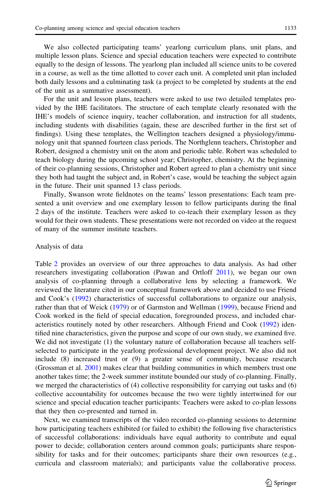We also collected participating teams' yearlong curriculum plans, unit plans, and multiple lesson plans. Science and special education teachers were expected to contribute equally to the design of lessons. The yearlong plan included all science units to be covered in a course, as well as the time allotted to cover each unit. A completed unit plan included both daily lessons and a culminating task (a project to be completed by students at the end of the unit as a summative assessment).

For the unit and lesson plans, teachers were asked to use two detailed templates provided by the IHE facilitators. The structure of each template clearly resonated with the IHE's models of science inquiry, teacher collaboration, and instruction for all students, including students with disabilities (again, these are described further in the first set of findings). Using these templates, the Wellington teachers designed a physiology/immunology unit that spanned fourteen class periods. The Northglenn teachers, Christopher and Robert, designed a chemistry unit on the atom and periodic table. Robert was scheduled to teach biology during the upcoming school year; Christopher, chemistry. At the beginning of their co-planning sessions, Christopher and Robert agreed to plan a chemistry unit since they both had taught the subject and, in Robert's case, would be teaching the subject again in the future. Their unit spanned 13 class periods.

Finally, Swanson wrote fieldnotes on the teams' lesson presentations: Each team presented a unit overview and one exemplary lesson to fellow participants during the final 2 days of the institute. Teachers were asked to co-teach their exemplary lesson as they would for their own students. These presentations were not recorded on video at the request of many of the summer institute teachers.

#### Analysis of data

Table [2](#page-12-0) provides an overview of our three approaches to data analysis. As had other researchers investigating collaboration (Pawan and Ortloff [2011](#page-30-0)), we began our own analysis of co-planning through a collaborative lens by selecting a framework. We reviewed the literature cited in our conceptual framework above and decided to use Friend and Cook's ([1992\)](#page-30-0) characteristics of successful collaborations to organize our analysis, rather than that of Weick ([1979\)](#page-30-0) or of Garmston and Wellman ([1999\)](#page-30-0), because Friend and Cook worked in the field of special education, foregrounded process, and included characteristics routinely noted by other researchers. Although Friend and Cook [\(1992](#page-30-0)) identified nine characteristics, given the purpose and scope of our own study, we examined five. We did not investigate (1) the voluntary nature of collaboration because all teachers selfselected to participate in the yearlong professional development project. We also did not include (8) increased trust or (9) a greater sense of community, because research (Grossman et al. [2001\)](#page-30-0) makes clear that building communities in which members trust one another takes time; the 2-week summer institute bounded our study of co-planning. Finally, we merged the characteristics of (4) collective responsibility for carrying out tasks and (6) collective accountability for outcomes because the two were tightly intertwined for our science and special education teacher participants: Teachers were asked to co-plan lessons that they then co-presented and turned in.

Next, we examined transcripts of the video recorded co-planning sessions to determine how participating teachers exhibited (or failed to exhibit) the following five characteristics of successful collaborations: individuals have equal authority to contribute and equal power to decide; collaboration centers around common goals; participants share responsibility for tasks and for their outcomes; participants share their own resources (e.g., curricula and classroom materials); and participants value the collaborative process.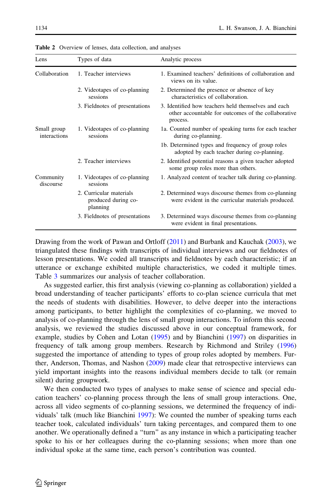| Lens                        | Types of data                                              | Analytic process                                                                                                       |
|-----------------------------|------------------------------------------------------------|------------------------------------------------------------------------------------------------------------------------|
| Collaboration               | 1. Teacher interviews                                      | 1. Examined teachers' definitions of collaboration and<br>views on its value.                                          |
|                             | 2. Videotapes of co-planning<br>sessions                   | 2. Determined the presence or absence of key<br>characteristics of collaboration.                                      |
|                             | 3. Fieldnotes of presentations                             | 3. Identified how teachers held themselves and each<br>other accountable for outcomes of the collaborative<br>process. |
| Small group<br>interactions | 1. Videotapes of co-planning<br>sessions                   | 1a. Counted number of speaking turns for each teacher<br>during co-planning.                                           |
|                             |                                                            | 1b. Determined types and frequency of group roles<br>adopted by each teacher during co-planning.                       |
|                             | 2. Teacher interviews                                      | 2. Identified potential reasons a given teacher adopted<br>some group roles more than others.                          |
| Community<br>discourse      | 1. Videotapes of co-planning<br>sessions                   | 1. Analyzed content of teacher talk during co-planning.                                                                |
|                             | 2. Curricular materials<br>produced during co-<br>planning | 2. Determined ways discourse themes from co-planning<br>were evident in the curricular materials produced.             |
|                             | 3. Fieldnotes of presentations                             | 3. Determined ways discourse themes from co-planning<br>were evident in final presentations.                           |

<span id="page-12-0"></span>Table 2 Overview of lenses, data collection, and analyses

Drawing from the work of Pawan and Ortloff [\(2011](#page-30-0)) and Burbank and Kauchak ([2003\)](#page-29-0), we triangulated these findings with transcripts of individual interviews and our fieldnotes of lesson presentations. We coded all transcripts and fieldnotes by each characteristic; if an utterance or exchange exhibited multiple characteristics, we coded it multiple times. Table [3](#page-13-0) summarizes our analysis of teacher collaboration.

As suggested earlier, this first analysis (viewing co-planning as collaboration) yielded a broad understanding of teacher participants' efforts to co-plan science curricula that met the needs of students with disabilities. However, to delve deeper into the interactions among participants, to better highlight the complexities of co-planning, we moved to analysis of co-planning through the lens of small group interactions. To inform this second analysis, we reviewed the studies discussed above in our conceptual framework, for example, studies by Cohen and Lotan [\(1995](#page-29-0)) and by Bianchini [\(1997](#page-29-0)) on disparities in frequency of talk among group members. Research by Richmond and Striley ([1996](#page-30-0)) suggested the importance of attending to types of group roles adopted by members. Further, Anderson, Thomas, and Nashon ([2009\)](#page-29-0) made clear that retrospective interviews can yield important insights into the reasons individual members decide to talk (or remain silent) during groupwork.

We then conducted two types of analyses to make sense of science and special education teachers' co-planning process through the lens of small group interactions. One, across all video segments of co-planning sessions, we determined the frequency of individuals' talk (much like Bianchini [1997\)](#page-29-0): We counted the number of speaking turns each teacher took, calculated individuals' turn taking percentages, and compared them to one another. We operationally defined a ''turn'' as any instance in which a participating teacher spoke to his or her colleagues during the co-planning sessions; when more than one individual spoke at the same time, each person's contribution was counted.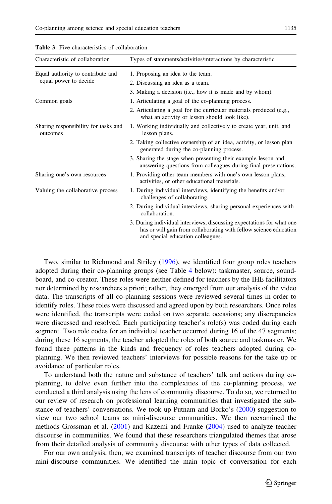| Characteristic of collaboration                            | Types of statements/activities/interactions by characteristic                                                                                                                   |  |
|------------------------------------------------------------|---------------------------------------------------------------------------------------------------------------------------------------------------------------------------------|--|
| Equal authority to contribute and<br>equal power to decide | 1. Proposing an idea to the team.<br>2. Discussing an idea as a team.                                                                                                           |  |
|                                                            | 3. Making a decision (i.e., how it is made and by whom).                                                                                                                        |  |
| Common goals                                               | 1. Articulating a goal of the co-planning process.                                                                                                                              |  |
|                                                            | 2. Articulating a goal for the curricular materials produced (e.g.,<br>what an activity or lesson should look like).                                                            |  |
| Sharing responsibility for tasks and<br>outcomes           | 1. Working individually and collectively to create year, unit, and<br>lesson plans.                                                                                             |  |
|                                                            | 2. Taking collective ownership of an idea, activity, or lesson plan<br>generated during the co-planning process.                                                                |  |
|                                                            | 3. Sharing the stage when presenting their example lesson and<br>answering questions from colleagues during final presentations.                                                |  |
| Sharing one's own resources                                | 1. Providing other team members with one's own lesson plans,<br>activities, or other educational materials.                                                                     |  |
| Valuing the collaborative process                          | 1. During individual interviews, identifying the benefits and/or<br>challenges of collaborating.                                                                                |  |
|                                                            | 2. During individual interviews, sharing personal experiences with<br>collaboration.                                                                                            |  |
|                                                            | 3. During individual interviews, discussing expectations for what one<br>has or will gain from collaborating with fellow science education<br>and special education colleagues. |  |

<span id="page-13-0"></span>Table 3 Five characteristics of collaboration

Two, similar to Richmond and Striley ([1996](#page-30-0)), we identified four group roles teachers adopted during their co-planning groups (see Table [4](#page-14-0) below): taskmaster, source, soundboard, and co-creator. These roles were neither defined for teachers by the IHE facilitators nor determined by researchers a priori; rather, they emerged from our analysis of the video data. The transcripts of all co-planning sessions were reviewed several times in order to identify roles. These roles were discussed and agreed upon by both researchers. Once roles were identified, the transcripts were coded on two separate occasions; any discrepancies were discussed and resolved. Each participating teacher's role(s) was coded during each segment. Two role codes for an individual teacher occurred during 16 of the 47 segments; during these 16 segments, the teacher adopted the roles of both source and taskmaster. We found three patterns in the kinds and frequency of roles teachers adopted during coplanning. We then reviewed teachers' interviews for possible reasons for the take up or avoidance of particular roles.

To understand both the nature and substance of teachers' talk and actions during coplanning, to delve even further into the complexities of the co-planning process, we conducted a third analysis using the lens of community discourse. To do so, we returned to our review of research on professional learning communities that investigated the substance of teachers' conversations. We took up Putnam and Borko's [\(2000\)](#page-30-0) suggestion to view our two school teams as mini-discourse communities. We then reexamined the methods Grossman et al. [\(2001](#page-30-0)) and Kazemi and Franke ([2004\)](#page-30-0) used to analyze teacher discourse in communities. We found that these researchers triangulated themes that arose from their detailed analysis of community discourse with other types of data collected.

For our own analysis, then, we examined transcripts of teacher discourse from our two mini-discourse communities. We identified the main topic of conversation for each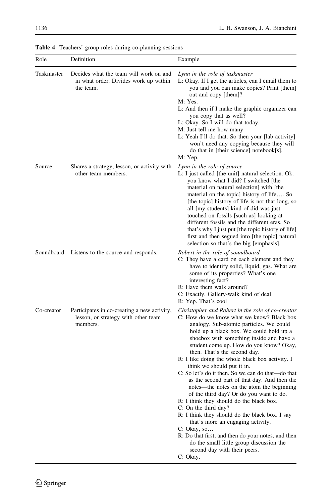| Role       | Definition                                                                                     | Example                                                                                                                                                                                                                                                                                                                                                                                                                                                                                                                                                                                  |
|------------|------------------------------------------------------------------------------------------------|------------------------------------------------------------------------------------------------------------------------------------------------------------------------------------------------------------------------------------------------------------------------------------------------------------------------------------------------------------------------------------------------------------------------------------------------------------------------------------------------------------------------------------------------------------------------------------------|
| Taskmaster | Decides what the team will work on and<br>in what order. Divides work up within<br>the team.   | Lynn in the role of taskmaster<br>L: Okay. If I get the articles, can I email them to<br>you and you can make copies? Print [them]<br>out and copy [them]?<br>M: Yes.<br>L: And then if I make the graphic organizer can<br>you copy that as well?<br>L: Okay. So I will do that today.<br>M: Just tell me how many.<br>L: Yeah I'll do that. So then your [lab activity]<br>won't need any copying because they will<br>do that in [their science] notebook[s].                                                                                                                         |
| Source     | Shares a strategy, lesson, or activity with<br>other team members.                             | M: Yep.<br>Lynn in the role of source<br>L: I just called [the unit] natural selection. Ok.<br>you know what I did? I switched [the                                                                                                                                                                                                                                                                                                                                                                                                                                                      |
|            |                                                                                                | material on natural selection with [the<br>material on the topic] history of life So<br>[the topic] history of life is not that long, so<br>all [my students] kind of did was just<br>touched on fossils [such as] looking at<br>different fossils and the different eras. So<br>that's why I just put [the topic history of life]<br>first and then segued into [the topic] natural<br>selection so that's the big [emphasis].                                                                                                                                                          |
|            | Soundboard Listens to the source and responds.                                                 | Robert in the role of soundboard<br>C: They have a card on each element and they<br>have to identify solid, liquid, gas. What are<br>some of its properties? What's one<br>interesting fact?<br>R: Have them walk around?                                                                                                                                                                                                                                                                                                                                                                |
|            |                                                                                                | C: Exactly. Gallery-walk kind of deal<br>R: Yep. That's cool                                                                                                                                                                                                                                                                                                                                                                                                                                                                                                                             |
| Co-creator | Participates in co-creating a new activity,<br>lesson, or strategy with other team<br>members. | Christopher and Robert in the role of co-creator<br>C: How do we know what we know? Black box<br>analogy. Sub-atomic particles. We could<br>hold up a black box. We could hold up a<br>shoebox with something inside and have a<br>student come up. How do you know? Okay,<br>then. That's the second day.<br>R: I like doing the whole black box activity. I<br>think we should put it in.<br>C: So let's do it then. So we can do that—do that<br>as the second part of that day. And then the<br>notes—the notes on the atom the beginning<br>of the third day? Or do you want to do. |
|            |                                                                                                | R: I think they should do the black box.<br>C: On the third day?                                                                                                                                                                                                                                                                                                                                                                                                                                                                                                                         |
|            |                                                                                                | R: I think they should do the black box. I say<br>that's more an engaging activity.<br>C: Okay, so                                                                                                                                                                                                                                                                                                                                                                                                                                                                                       |
|            |                                                                                                | R: Do that first, and then do your notes, and then<br>do the small little group discussion the<br>second day with their peers.                                                                                                                                                                                                                                                                                                                                                                                                                                                           |
|            |                                                                                                | C: Okay.                                                                                                                                                                                                                                                                                                                                                                                                                                                                                                                                                                                 |

<span id="page-14-0"></span>Table 4 Teachers' group roles during co-planning sessions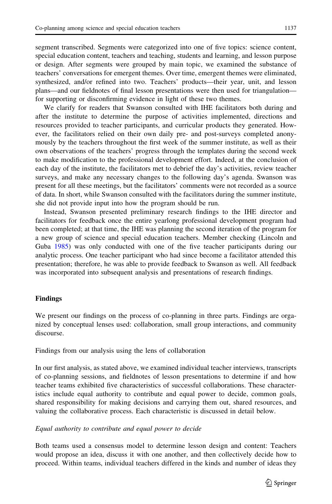segment transcribed. Segments were categorized into one of five topics: science content, special education content, teachers and teaching, students and learning, and lesson purpose or design. After segments were grouped by main topic, we examined the substance of teachers' conversations for emergent themes. Over time, emergent themes were eliminated, synthesized, and/or refined into two. Teachers' products—their year, unit, and lesson plans—and our fieldnotes of final lesson presentations were then used for triangulation for supporting or disconfirming evidence in light of these two themes.

We clarify for readers that Swanson consulted with IHE facilitators both during and after the institute to determine the purpose of activities implemented, directions and resources provided to teacher participants, and curricular products they generated. However, the facilitators relied on their own daily pre- and post-surveys completed anonymously by the teachers throughout the first week of the summer institute, as well as their own observations of the teachers' progress through the templates during the second week to make modification to the professional development effort. Indeed, at the conclusion of each day of the institute, the facilitators met to debrief the day's activities, review teacher surveys, and make any necessary changes to the following day's agenda. Swanson was present for all these meetings, but the facilitators' comments were not recorded as a source of data. In short, while Swanson consulted with the facilitators during the summer institute, she did not provide input into how the program should be run.

Instead, Swanson presented preliminary research findings to the IHE director and facilitators for feedback once the entire yearlong professional development program had been completed; at that time, the IHE was planning the second iteration of the program for a new group of science and special education teachers. Member checking (Lincoln and Guba [1985\)](#page-30-0) was only conducted with one of the five teacher participants during our analytic process. One teacher participant who had since become a facilitator attended this presentation; therefore, he was able to provide feedback to Swanson as well. All feedback was incorporated into subsequent analysis and presentations of research findings.

#### Findings

We present our findings on the process of co-planning in three parts. Findings are organized by conceptual lenses used: collaboration, small group interactions, and community discourse.

Findings from our analysis using the lens of collaboration

In our first analysis, as stated above, we examined individual teacher interviews, transcripts of co-planning sessions, and fieldnotes of lesson presentations to determine if and how teacher teams exhibited five characteristics of successful collaborations. These characteristics include equal authority to contribute and equal power to decide, common goals, shared responsibility for making decisions and carrying them out, shared resources, and valuing the collaborative process. Each characteristic is discussed in detail below.

#### Equal authority to contribute and equal power to decide

Both teams used a consensus model to determine lesson design and content: Teachers would propose an idea, discuss it with one another, and then collectively decide how to proceed. Within teams, individual teachers differed in the kinds and number of ideas they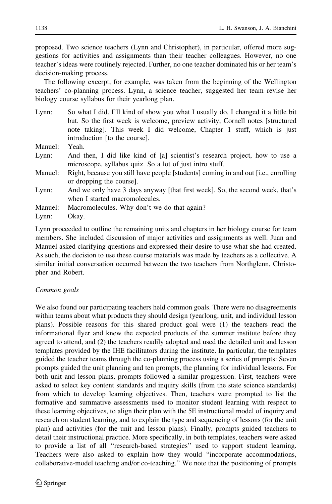proposed. Two science teachers (Lynn and Christopher), in particular, offered more suggestions for activities and assignments than their teacher colleagues. However, no one teacher's ideas were routinely rejected. Further, no one teacher dominated his or her team's decision-making process.

The following excerpt, for example, was taken from the beginning of the Wellington teachers' co-planning process. Lynn, a science teacher, suggested her team revise her biology course syllabus for their yearlong plan.

| Lynn:   | So what I did. I'll kind of show you what I usually do. I changed it a little bit |
|---------|-----------------------------------------------------------------------------------|
|         | but. So the first week is welcome, preview activity, Cornell notes [structured]   |
|         | note taking. This week I did welcome, Chapter 1 stuff, which is just              |
|         | introduction [to the course].                                                     |
| Manuel: | Yeah.                                                                             |
| Lynn:   | And then, I did like kind of [a] scientist's research project, how to use a       |
|         | microscope, syllabus quiz. So a lot of just intro stuff.                          |

- Manuel: Right, because you still have people [students] coming in and out [i.e., enrolling or dropping the course].
- Lynn: And we only have 3 days anyway [that first week]. So, the second week, that's when I started macromolecules.
- Manuel: Macromolecules. Why don't we do that again?
- Lynn: Okay.

Lynn proceeded to outline the remaining units and chapters in her biology course for team members. She included discussion of major activities and assignments as well. Juan and Manuel asked clarifying questions and expressed their desire to use what she had created. As such, the decision to use these course materials was made by teachers as a collective. A similar initial conversation occurred between the two teachers from Northglenn, Christopher and Robert.

# Common goals

We also found our participating teachers held common goals. There were no disagreements within teams about what products they should design (yearlong, unit, and individual lesson plans). Possible reasons for this shared product goal were (1) the teachers read the informational flyer and knew the expected products of the summer institute before they agreed to attend, and (2) the teachers readily adopted and used the detailed unit and lesson templates provided by the IHE facilitators during the institute. In particular, the templates guided the teacher teams through the co-planning process using a series of prompts: Seven prompts guided the unit planning and ten prompts, the planning for individual lessons. For both unit and lesson plans, prompts followed a similar progression. First, teachers were asked to select key content standards and inquiry skills (from the state science standards) from which to develop learning objectives. Then, teachers were prompted to list the formative and summative assessments used to monitor student learning with respect to these learning objectives, to align their plan with the 5E instructional model of inquiry and research on student learning, and to explain the type and sequencing of lessons (for the unit plan) and activities (for the unit and lesson plans). Finally, prompts guided teachers to detail their instructional practice. More specifically, in both templates, teachers were asked to provide a list of all ''research-based strategies'' used to support student learning. Teachers were also asked to explain how they would ''incorporate accommodations, collaborative-model teaching and/or co-teaching.'' We note that the positioning of prompts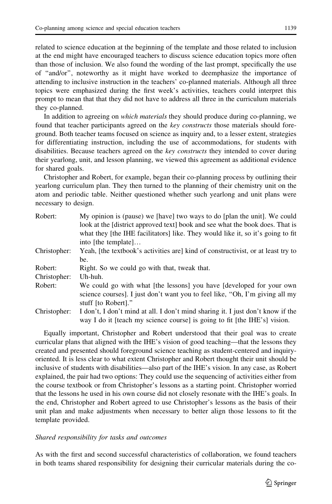related to science education at the beginning of the template and those related to inclusion at the end might have encouraged teachers to discuss science education topics more often than those of inclusion. We also found the wording of the last prompt, specifically the use of ''and/or'', noteworthy as it might have worked to deemphasize the importance of attending to inclusive instruction in the teachers' co-planned materials. Although all three topics were emphasized during the first week's activities, teachers could interpret this prompt to mean that that they did not have to address all three in the curriculum materials they co-planned.

In addition to agreeing on *which materials* they should produce during co-planning, we found that teacher participants agreed on the key constructs those materials should foreground. Both teacher teams focused on science as inquiry and, to a lesser extent, strategies for differentiating instruction, including the use of accommodations, for students with disabilities. Because teachers agreed on the key constructs they intended to cover during their yearlong, unit, and lesson planning, we viewed this agreement as additional evidence for shared goals.

Christopher and Robert, for example, began their co-planning process by outlining their yearlong curriculum plan. They then turned to the planning of their chemistry unit on the atom and periodic table. Neither questioned whether such yearlong and unit plans were necessary to design.

| Robert:      | My opinion is (pause) we [have] two ways to do [plan the unit]. We could         |
|--------------|----------------------------------------------------------------------------------|
|              | look at the [district approved text] book and see what the book does. That is    |
|              | what they [the IHE facilitators] like. They would like it, so it's going to fit  |
|              | into [the template]                                                              |
| Christopher: | Yeah, [the textbook's activities are] kind of constructivist, or at least try to |
|              | be.                                                                              |
| Robert:      | Right. So we could go with that, tweak that.                                     |
| Christopher: | Uh-huh.                                                                          |
| Robert:      | We could go with what [the lessons] you have [developed for your own             |
|              | science courses]. I just don't want you to feel like, "Oh, I'm giving all my     |
|              | stuff [to Robert]."                                                              |
| Christopher: | I don't, I don't mind at all. I don't mind sharing it. I just don't know if the  |
|              | way I do it [teach my science course] is going to fit [the IHE's] vision.        |
|              |                                                                                  |

Equally important, Christopher and Robert understood that their goal was to create curricular plans that aligned with the IHE's vision of good teaching—that the lessons they created and presented should foreground science teaching as student-centered and inquiryoriented. It is less clear to what extent Christopher and Robert thought their unit should be inclusive of students with disabilities—also part of the IHE's vision. In any case, as Robert explained, the pair had two options: They could use the sequencing of activities either from the course textbook or from Christopher's lessons as a starting point. Christopher worried that the lessons he used in his own course did not closely resonate with the IHE's goals. In the end, Christopher and Robert agreed to use Christopher's lessons as the basis of their unit plan and make adjustments when necessary to better align those lessons to fit the template provided.

# Shared responsibility for tasks and outcomes

As with the first and second successful characteristics of collaboration, we found teachers in both teams shared responsibility for designing their curricular materials during the co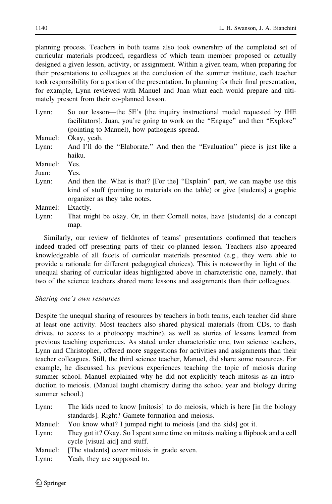planning process. Teachers in both teams also took ownership of the completed set of curricular materials produced, regardless of which team member proposed or actually designed a given lesson, activity, or assignment. Within a given team, when preparing for their presentations to colleagues at the conclusion of the summer institute, each teacher took responsibility for a portion of the presentation. In planning for their final presentation, for example, Lynn reviewed with Manuel and Juan what each would prepare and ultimately present from their co-planned lesson.

- Lynn: So our lesson—the 5E's [the inquiry instructional model requested by IHE facilitators]. Juan, you're going to work on the ''Engage'' and then ''Explore'' (pointing to Manuel), how pathogens spread.
- Manuel: Okay, yeah.
- Lynn: And I'll do the "Elaborate." And then the "Evaluation" piece is just like a haiku.
- Manuel: Yes.
- Juan: Yes.
- Lynn: And then the. What is that? [For the] "Explain" part, we can maybe use this kind of stuff (pointing to materials on the table) or give [students] a graphic organizer as they take notes.
- Manuel: Exactly.
- Lynn: That might be okay. Or, in their Cornell notes, have [students] do a concept map.

Similarly, our review of fieldnotes of teams' presentations confirmed that teachers indeed traded off presenting parts of their co-planned lesson. Teachers also appeared knowledgeable of all facets of curricular materials presented (e.g., they were able to provide a rationale for different pedagogical choices). This is noteworthy in light of the unequal sharing of curricular ideas highlighted above in characteristic one, namely, that two of the science teachers shared more lessons and assignments than their colleagues.

## Sharing one's own resources

Despite the unequal sharing of resources by teachers in both teams, each teacher did share at least one activity. Most teachers also shared physical materials (from CDs, to flash drives, to access to a photocopy machine), as well as stories of lessons learned from previous teaching experiences. As stated under characteristic one, two science teachers, Lynn and Christopher, offered more suggestions for activities and assignments than their teacher colleagues. Still, the third science teacher, Manuel, did share some resources. For example, he discussed his previous experiences teaching the topic of meiosis during summer school. Manuel explained why he did not explicitly teach mitosis as an introduction to meiosis. (Manuel taught chemistry during the school year and biology during summer school.)

| Lynn:    | The kids need to know [mitosis] to do meiosis, which is here [in the biology    |
|----------|---------------------------------------------------------------------------------|
|          | standards]. Right? Gamete formation and meiosis.                                |
| Manuel:  | You know what? I jumped right to meiosis [and the kids] got it.                 |
| $I$ vnn. | They got it? Okay, So I spent some time on mitosis making a fliphook and a cell |

- Lynn: They got it? Okay. So I spent some time on mitosis making a flipbook and a cell cycle [visual aid] and stuff.
- Manuel: [The students] cover mitosis in grade seven.
- Lynn: Yeah, they are supposed to.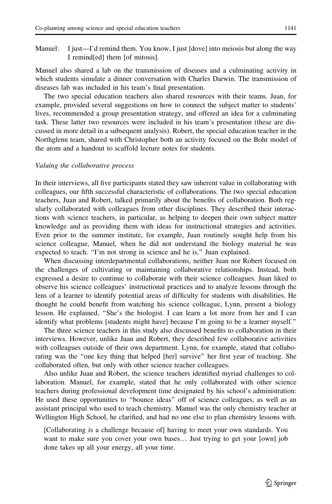Manuel: I just—I'd remind them. You know, I just [dove] into meiosis but along the way I remind[ed] them [of mitosis].

Manuel also shared a lab on the transmission of diseases and a culminating activity in which students simulate a dinner conversation with Charles Darwin. The transmission of diseases lab was included in his team's final presentation.

The two special education teachers also shared resources with their teams. Juan, for example, provided several suggestions on how to connect the subject matter to students' lives, recommended a group presentation strategy, and offered an idea for a culminating task. These latter two resources were included in his team's presentation (these are discussed in more detail in a subsequent analysis). Robert, the special education teacher in the Northglenn team, shared with Christopher both an activity focused on the Bohr model of the atom and a handout to scaffold lecture notes for students.

#### Valuing the collaborative process

In their interviews, all five participants stated they saw inherent value in collaborating with colleagues, our fifth successful characteristic of collaborations. The two special education teachers, Juan and Robert, talked primarily about the benefits of collaboration. Both regularly collaborated with colleagues from other disciplines. They described their interactions with science teachers, in particular, as helping to deepen their own subject matter knowledge and as providing them with ideas for instructional strategies and activities. Even prior to the summer institute, for example, Juan routinely sought help from his science colleague, Manuel, when he did not understand the biology material he was expected to teach. "I'm not strong in science and he is," Juan explained.

When discussing interdepartmental collaborations, neither Juan nor Robert focused on the challenges of cultivating or maintaining collaborative relationships. Instead, both expressed a desire to continue to collaborate with their science colleagues. Juan liked to observe his science colleagues' instructional practices and to analyze lessons through the lens of a learner to identify potential areas of difficulty for students with disabilities. He thought he could benefit from watching his science colleague, Lynn, present a biology lesson. He explained, ''She's the biologist. I can learn a lot more from her and I can identify what problems [students might have] because I'm going to be a learner myself.''

The three science teachers in this study also discussed benefits to collaboration in their interviews. However, unlike Juan and Robert, they described few collaborative activities with colleagues outside of their own department. Lynn, for example, stated that collaborating was the "one key thing that helped [her] survive" her first year of teaching. She collaborated often, but only with other science teacher colleagues.

Also unlike Juan and Robert, the science teachers identified myriad challenges to collaboration. Manuel, for example, stated that he only collaborated with other science teachers during professional development time designated by his school's administration: He used these opportunities to ''bounce ideas'' off of science colleagues, as well as an assistant principal who used to teach chemistry. Manuel was the only chemistry teacher at Wellington High School, he clarified, and had no one else to plan chemistry lessons with.

[Collaborating is a challenge because of] having to meet your own standards. You want to make sure you cover your own bases… Just trying to get your [own] job done takes up all your energy, all your time.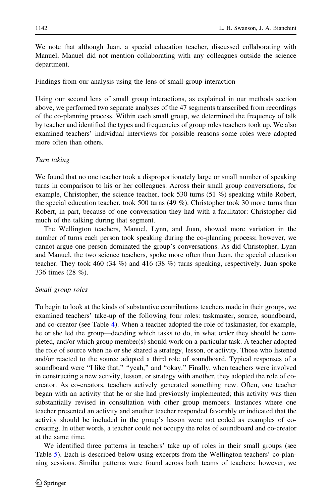We note that although Juan, a special education teacher, discussed collaborating with Manuel, Manuel did not mention collaborating with any colleagues outside the science department.

Findings from our analysis using the lens of small group interaction

Using our second lens of small group interactions, as explained in our methods section above, we performed two separate analyses of the 47 segments transcribed from recordings of the co-planning process. Within each small group, we determined the frequency of talk by teacher and identified the types and frequencies of group roles teachers took up. We also examined teachers' individual interviews for possible reasons some roles were adopted more often than others.

# Turn taking

We found that no one teacher took a disproportionately large or small number of speaking turns in comparison to his or her colleagues. Across their small group conversations, for example, Christopher, the science teacher, took 530 turns  $(51 \%)$  speaking while Robert, the special education teacher, took 500 turns (49 %). Christopher took 30 more turns than Robert, in part, because of one conversation they had with a facilitator: Christopher did much of the talking during that segment.

The Wellington teachers, Manuel, Lynn, and Juan, showed more variation in the number of turns each person took speaking during the co-planning process; however, we cannot argue one person dominated the group's conversations. As did Christopher, Lynn and Manuel, the two science teachers, spoke more often than Juan, the special education teacher. They took 460 (34 %) and 416 (38 %) turns speaking, respectively. Juan spoke 336 times (28 %).

## Small group roles

To begin to look at the kinds of substantive contributions teachers made in their groups, we examined teachers' take-up of the following four roles: taskmaster, source, soundboard, and co-creator (see Table [4](#page-14-0)). When a teacher adopted the role of taskmaster, for example, he or she led the group—deciding which tasks to do, in what order they should be completed, and/or which group member(s) should work on a particular task. A teacher adopted the role of source when he or she shared a strategy, lesson, or activity. Those who listened and/or reacted to the source adopted a third role of soundboard. Typical responses of a soundboard were "I like that," "yeah," and "okay." Finally, when teachers were involved in constructing a new activity, lesson, or strategy with another, they adopted the role of cocreator. As co-creators, teachers actively generated something new. Often, one teacher began with an activity that he or she had previously implemented; this activity was then substantially revised in consultation with other group members. Instances where one teacher presented an activity and another teacher responded favorably or indicated that the activity should be included in the group's lesson were not coded as examples of cocreating. In other words, a teacher could not occupy the roles of soundboard and co-creator at the same time.

We identified three patterns in teachers' take up of roles in their small groups (see Table [5](#page-21-0)). Each is described below using excerpts from the Wellington teachers' co-planning sessions. Similar patterns were found across both teams of teachers; however, we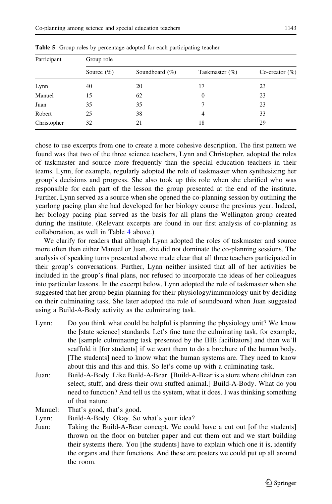| Participant | Group role    |                    |                   |                   |
|-------------|---------------|--------------------|-------------------|-------------------|
|             | Source $(\%)$ | Soundboard $(\% )$ | Taskmaster $(\%)$ | Co-creator $(\%)$ |
| Lynn        | 40            | 20                 | 17                | 23                |
| Manuel      | 15            | 62                 | $\Omega$          | 23                |
| Juan        | 35            | 35                 |                   | 23                |
| Robert      | 25            | 38                 | 4                 | 33                |
| Christopher | 32            | 21                 | 18                | 29                |

<span id="page-21-0"></span>Table 5 Group roles by percentage adopted for each participating teacher

chose to use excerpts from one to create a more cohesive description. The first pattern we found was that two of the three science teachers, Lynn and Christopher, adopted the roles of taskmaster and source more frequently than the special education teachers in their teams. Lynn, for example, regularly adopted the role of taskmaster when synthesizing her group's decisions and progress. She also took up this role when she clarified who was responsible for each part of the lesson the group presented at the end of the institute. Further, Lynn served as a source when she opened the co-planning session by outlining the yearlong pacing plan she had developed for her biology course the previous year. Indeed, her biology pacing plan served as the basis for all plans the Wellington group created during the institute. (Relevant excerpts are found in our first analysis of co-planning as collaboration, as well in Table [4](#page-14-0) above.)

We clarify for readers that although Lynn adopted the roles of taskmaster and source more often than either Manuel or Juan, she did not dominate the co-planning sessions. The analysis of speaking turns presented above made clear that all three teachers participated in their group's conversations. Further, Lynn neither insisted that all of her activities be included in the group's final plans, nor refused to incorporate the ideas of her colleagues into particular lessons. In the excerpt below, Lynn adopted the role of taskmaster when she suggested that her group begin planning for their physiology/immunology unit by deciding on their culminating task. She later adopted the role of soundboard when Juan suggested using a Build-A-Body activity as the culminating task.

- Lynn: Do you think what could be helpful is planning the physiology unit? We know the [state science] standards. Let's fine tune the culminating task, for example, the [sample culminating task presented by the IHE facilitators] and then we'll scaffold it [for students] if we want them to do a brochure of the human body. [The students] need to know what the human systems are. They need to know about this and this and this. So let's come up with a culminating task.
- Juan: Build-A-Body. Like Build-A-Bear. [Build-A-Bear is a store where children can select, stuff, and dress their own stuffed animal.] Build-A-Body. What do you need to function? And tell us the system, what it does. I was thinking something of that nature.

Manuel: That's good, that's good.

Lynn: Build-A-Body. Okay. So what's your idea?

Juan: Taking the Build-A-Bear concept. We could have a cut out [of the students] thrown on the floor on butcher paper and cut them out and we start building their systems there. You [the students] have to explain which one it is, identify the organs and their functions. And these are posters we could put up all around the room.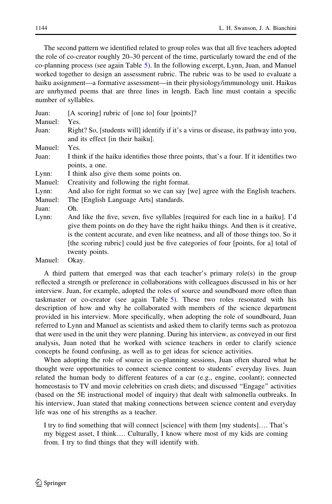The second pattern we identified related to group roles was that all five teachers adopted the role of co-creator roughly 20–30 percent of the time, particularly toward the end of the co-planning process (see again Table [5\)](#page-21-0). In the following excerpt, Lynn, Juan, and Manuel worked together to design an assessment rubric. The rubric was to be used to evaluate a haiku assignment—a formative assessment—in their physiology/immunology unit. Haikus are unrhymed poems that are three lines in length. Each line must contain a specific number of syllables.

| Juan:   | [A scoring] rubric of [one to] four [points]?                                                                                                                                                                                                                                                                                                                          |
|---------|------------------------------------------------------------------------------------------------------------------------------------------------------------------------------------------------------------------------------------------------------------------------------------------------------------------------------------------------------------------------|
| Manuel: | Yes.                                                                                                                                                                                                                                                                                                                                                                   |
| Juan:   | Right? So, [students will] identify if it's a virus or disease, its pathway into you,<br>and its effect [in their haiku].                                                                                                                                                                                                                                              |
| Manuel: | Yes.                                                                                                                                                                                                                                                                                                                                                                   |
| Juan:   | I think if the haiku identifies those three points, that's a four. If it identifies two<br>points, a one.                                                                                                                                                                                                                                                              |
| Lynn:   | I think also give them some points on.                                                                                                                                                                                                                                                                                                                                 |
| Manuel: | Creativity and following the right format.                                                                                                                                                                                                                                                                                                                             |
| Lynn:   | And also for right format so we can say [we] agree with the English teachers.                                                                                                                                                                                                                                                                                          |
| Manuel: | The [English Language Arts] standards.                                                                                                                                                                                                                                                                                                                                 |
| Juan:   | Oh.                                                                                                                                                                                                                                                                                                                                                                    |
| Lynn:   | And like the five, seven, five syllables [required for each line in a haiku]. I'd<br>give them points on do they have the right haiku things. And then is it creative,<br>is the content accurate, and even like neatness, and all of those things too. So it<br>[the scoring rubric] could just be five categories of four [points, for a] total of<br>twenty points. |
|         |                                                                                                                                                                                                                                                                                                                                                                        |

Manuel: Okay.

A third pattern that emerged was that each teacher's primary role(s) in the group reflected a strength or preference in collaborations with colleagues discussed in his or her interview. Juan, for example, adopted the roles of source and soundboard more often than taskmaster or co-creator (see again Table [5](#page-21-0)). These two roles resonated with his description of how and why he collaborated with members of the science department provided in his interview. More specifically, when adopting the role of soundboard, Juan referred to Lynn and Manuel as scientists and asked them to clarify terms such as protozoa that were used in the unit they were planning. During his interview, as conveyed in our first analysis, Juan noted that he worked with science teachers in order to clarify science concepts he found confusing, as well as to get ideas for science activities.

When adopting the role of source in co-planning sessions, Juan often shared what he thought were opportunities to connect science content to students' everyday lives. Juan related the human body to different features of a car (e.g., engine, coolant); connected homeostasis to TV and movie celebrities on crash diets; and discussed ''Engage'' activities (based on the 5E instructional model of inquiry) that dealt with salmonella outbreaks. In his interview, Juan stated that making connections between science content and everyday life was one of his strengths as a teacher.

I try to find something that will connect [science] with them [my students]…. That's my biggest asset, I think…. Culturally, I know where most of my kids are coming from. I try to find things that they will identify with.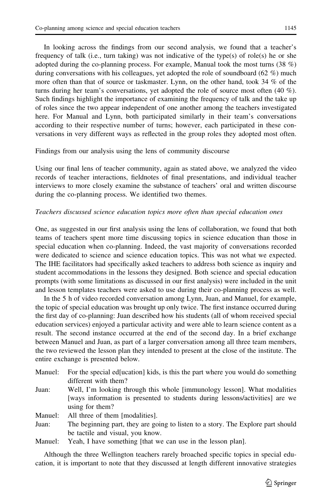In looking across the findings from our second analysis, we found that a teacher's frequency of talk (i.e., turn taking) was not indicative of the type(s) of role(s) he or she adopted during the co-planning process. For example, Manual took the most turns (38 %) during conversations with his colleagues, yet adopted the role of soundboard (62  $\%$ ) much more often than that of source or taskmaster. Lynn, on the other hand, took 34 % of the turns during her team's conversations, yet adopted the role of source most often (40 %). Such findings highlight the importance of examining the frequency of talk and the take up of roles since the two appear independent of one another among the teachers investigated here. For Manual and Lynn, both participated similarly in their team's conversations according to their respective number of turns; however, each participated in these conversations in very different ways as reflected in the group roles they adopted most often.

# Findings from our analysis using the lens of community discourse

Using our final lens of teacher community, again as stated above, we analyzed the video records of teacher interactions, fieldnotes of final presentations, and individual teacher interviews to more closely examine the substance of teachers' oral and written discourse during the co-planning process. We identified two themes.

# Teachers discussed science education topics more often than special education ones

One, as suggested in our first analysis using the lens of collaboration, we found that both teams of teachers spent more time discussing topics in science education than those in special education when co-planning. Indeed, the vast majority of conversations recorded were dedicated to science and science education topics. This was not what we expected. The IHE facilitators had specifically asked teachers to address both science as inquiry and student accommodations in the lessons they designed. Both science and special education prompts (with some limitations as discussed in our first analysis) were included in the unit and lesson templates teachers were asked to use during their co-planning process as well.

In the 5 h of video recorded conversation among Lynn, Juan, and Manuel, for example, the topic of special education was brought up only twice. The first instance occurred during the first day of co-planning: Juan described how his students (all of whom received special education services) enjoyed a particular activity and were able to learn science content as a result. The second instance occurred at the end of the second day. In a brief exchange between Manuel and Juan, as part of a larger conversation among all three team members, the two reviewed the lesson plan they intended to present at the close of the institute. The entire exchange is presented below.

| Manuel: | For the special ed [ucation] kids, is this the part where you would do something |
|---------|----------------------------------------------------------------------------------|
|         | different with them?                                                             |
| Juan:   | Well, I'm looking through this whole fimmunology lesson. What modalities         |
|         | [ways information is presented to students during lessons/activities] are we     |
|         | using for them?                                                                  |
| Manuel: | All three of them [modalities].                                                  |
| Juan:   | The beginning part, they are going to listen to a story. The Explore part should |
|         | be tactile and visual, you know.                                                 |

Manuel: Yeah, I have something [that we can use in the lesson plan].

Although the three Wellington teachers rarely broached specific topics in special education, it is important to note that they discussed at length different innovative strategies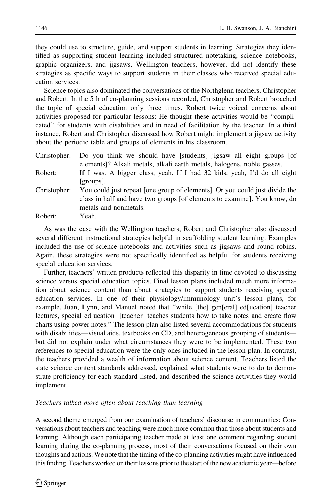they could use to structure, guide, and support students in learning. Strategies they identified as supporting student learning included structured notetaking, science notebooks, graphic organizers, and jigsaws. Wellington teachers, however, did not identify these strategies as specific ways to support students in their classes who received special education services.

Science topics also dominated the conversations of the Northglenn teachers, Christopher and Robert. In the 5 h of co-planning sessions recorded, Christopher and Robert broached the topic of special education only three times. Robert twice voiced concerns about activities proposed for particular lessons: He thought these activities would be ''complicated'' for students with disabilities and in need of facilitation by the teacher. In a third instance, Robert and Christopher discussed how Robert might implement a jigsaw activity about the periodic table and groups of elements in his classroom.

| Christopher: | Do you think we should have [students] jigsaw all eight groups [of          |
|--------------|-----------------------------------------------------------------------------|
|              | elements]? Alkali metals, alkali earth metals, halogens, noble gasses.      |
| Robert:      | If I was. A bigger class, yeah. If I had 32 kids, yeah, I'd do all eight    |
|              | [groups].                                                                   |
| Christopher: | You could just repeat [one group of elements]. Or you could just divide the |
|              | class in half and have two groups [of elements to examine]. You know, do    |
|              | metals and nonmetals.                                                       |
| Robert:      | Yeah.                                                                       |

As was the case with the Wellington teachers, Robert and Christopher also discussed several different instructional strategies helpful in scaffolding student learning. Examples included the use of science notebooks and activities such as jigsaws and round robins. Again, these strategies were not specifically identified as helpful for students receiving special education services.

Further, teachers' written products reflected this disparity in time devoted to discussing science versus special education topics. Final lesson plans included much more information about science content than about strategies to support students receiving special education services. In one of their physiology/immunology unit's lesson plans, for example, Juan, Lynn, and Manuel noted that ''while [the] gen[eral] ed[ucation] teacher lectures, special ed[ucation] [teacher] teaches students how to take notes and create flow charts using power notes.'' The lesson plan also listed several accommodations for students with disabilities—visual aids, textbooks on CD, and heterogeneous grouping of students but did not explain under what circumstances they were to be implemented. These two references to special education were the only ones included in the lesson plan. In contrast, the teachers provided a wealth of information about science content. Teachers listed the state science content standards addressed, explained what students were to do to demonstrate proficiency for each standard listed, and described the science activities they would implement.

## Teachers talked more often about teaching than learning

A second theme emerged from our examination of teachers' discourse in communities: Conversations about teachers and teaching were much more common than those about students and learning. Although each participating teacher made at least one comment regarding student learning during the co-planning process, most of their conversations focused on their own thoughts and actions. We note that the timing of the co-planning activities might have influenced this finding. Teachers worked on their lessons prior to the start of the new academic year—before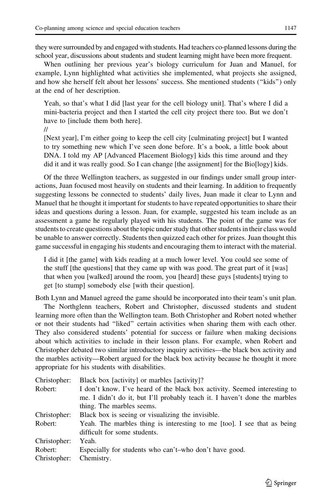they were surrounded by and engaged with students. Had teachers co-planned lessons during the school year, discussions about students and student learning might have been more frequent.

When outlining her previous year's biology curriculum for Juan and Manuel, for example, Lynn highlighted what activities she implemented, what projects she assigned, and how she herself felt about her lessons' success. She mentioned students (''kids'') only at the end of her description.

Yeah, so that's what I did [last year for the cell biology unit]. That's where I did a mini-bacteria project and then I started the cell city project there too. But we don't have to [include them both here].

//

[Next year], I'm either going to keep the cell city [culminating project] but I wanted to try something new which I've seen done before. It's a book, a little book about DNA. I told my AP [Advanced Placement Biology] kids this time around and they did it and it was really good. So I can change [the assignment] for the Bio[logy] kids.

Of the three Wellington teachers, as suggested in our findings under small group interactions, Juan focused most heavily on students and their learning. In addition to frequently suggesting lessons be connected to students' daily lives, Juan made it clear to Lynn and Manuel that he thought it important for students to have repeated opportunities to share their ideas and questions during a lesson. Juan, for example, suggested his team include as an assessment a game he regularly played with his students. The point of the game was for students to create questions about the topic under study that other students in their class would be unable to answer correctly. Students then quizzed each other for prizes. Juan thought this game successful in engaging his students and encouraging them to interact with the material.

I did it [the game] with kids reading at a much lower level. You could see some of the stuff [the questions] that they came up with was good. The great part of it [was] that when you [walked] around the room, you [heard] these guys [students] trying to get [to stump] somebody else [with their question].

Both Lynn and Manuel agreed the game should be incorporated into their team's unit plan. The Northglenn teachers, Robert and Christopher, discussed students and student learning more often than the Wellington team. Both Christopher and Robert noted whether or not their students had ''liked'' certain activities when sharing them with each other. They also considered students' potential for success or failure when making decisions about which activities to include in their lesson plans. For example, when Robert and Christopher debated two similar introductory inquiry activities—the black box activity and the marbles activity—Robert argued for the black box activity because he thought it more appropriate for his students with disabilities.

| Christopher: | Black box [activity] or marbles [activity]?                                |
|--------------|----------------------------------------------------------------------------|
| Robert:      | I don't know. I've heard of the black box activity. Seemed interesting to  |
|              | me. I didn't do it, but I'll probably teach it. I haven't done the marbles |
|              | thing. The marbles seems.                                                  |
| Christopher: | Black box is seeing or visualizing the invisible.                          |
| Robert:      | Yeah. The marbles thing is interesting to me [too]. I see that as being    |
|              | difficult for some students.                                               |
| Christopher: | Yeah.                                                                      |
| Robert:      | Especially for students who can't-who don't have good.                     |
| Christopher: | Chemistry.                                                                 |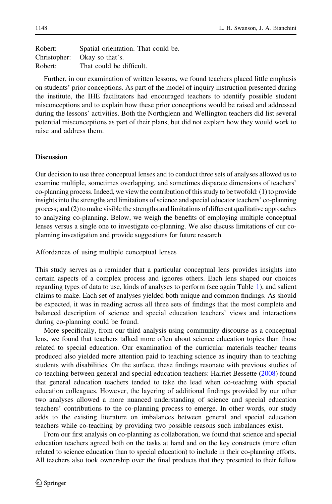| Robert:      | Spatial orientation. That could be. |
|--------------|-------------------------------------|
| Christopher: | Okay so that's.                     |
| Robert:      | That could be difficult.            |

Further, in our examination of written lessons, we found teachers placed little emphasis on students' prior conceptions. As part of the model of inquiry instruction presented during the institute, the IHE facilitators had encouraged teachers to identify possible student misconceptions and to explain how these prior conceptions would be raised and addressed during the lessons' activities. Both the Northglenn and Wellington teachers did list several potential misconceptions as part of their plans, but did not explain how they would work to raise and address them.

# Discussion

Our decision to use three conceptual lenses and to conduct three sets of analyses allowed us to examine multiple, sometimes overlapping, and sometimes disparate dimensions of teachers' co-planning process. Indeed, we view the contribution of this study to be twofold: (1) to provide insights into the strengths and limitations of science and special educator teachers' co-planning process; and (2) to make visible the strengths and limitations of different qualitative approaches to analyzing co-planning. Below, we weigh the benefits of employing multiple conceptual lenses versus a single one to investigate co-planning. We also discuss limitations of our coplanning investigation and provide suggestions for future research.

Affordances of using multiple conceptual lenses

This study serves as a reminder that a particular conceptual lens provides insights into certain aspects of a complex process and ignores others. Each lens shaped our choices regarding types of data to use, kinds of analyses to perform (see again Table [1\)](#page-10-0), and salient claims to make. Each set of analyses yielded both unique and common findings. As should be expected, it was in reading across all three sets of findings that the most complete and balanced description of science and special education teachers' views and interactions during co-planning could be found.

More specifically, from our third analysis using community discourse as a conceptual lens, we found that teachers talked more often about science education topics than those related to special education. Our examination of the curricular materials teacher teams produced also yielded more attention paid to teaching science as inquiry than to teaching students with disabilities. On the surface, these findings resonate with previous studies of co-teaching between general and special education teachers: Harriet Bessette ([2008\)](#page-29-0) found that general education teachers tended to take the lead when co-teaching with special education colleagues. However, the layering of additional findings provided by our other two analyses allowed a more nuanced understanding of science and special education teachers' contributions to the co-planning process to emerge. In other words, our study adds to the existing literature on imbalances between general and special education teachers while co-teaching by providing two possible reasons such imbalances exist.

From our first analysis on co-planning as collaboration, we found that science and special education teachers agreed both on the tasks at hand and on the key constructs (more often related to science education than to special education) to include in their co-planning efforts. All teachers also took ownership over the final products that they presented to their fellow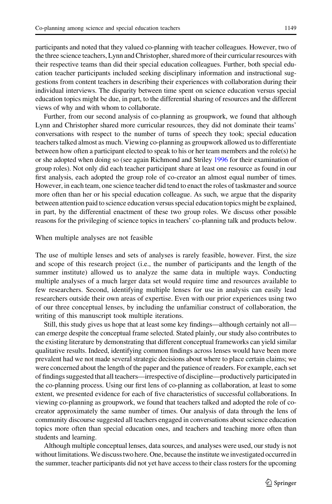participants and noted that they valued co-planning with teacher colleagues. However, two of the three science teachers, Lynn and Christopher, shared more of their curricular resources with their respective teams than did their special education colleagues. Further, both special education teacher participants included seeking disciplinary information and instructional suggestions from content teachers in describing their experiences with collaboration during their individual interviews. The disparity between time spent on science education versus special education topics might be due, in part, to the differential sharing of resources and the different views of why and with whom to collaborate.

Further, from our second analysis of co-planning as groupwork, we found that although Lynn and Christopher shared more curricular resources, they did not dominate their teams' conversations with respect to the number of turns of speech they took; special education teachers talked almost as much. Viewing co-planning as groupwork allowed us to differentiate between how often a participant elected to speak to his or her team members and the role(s) he or she adopted when doing so (see again Richmond and Striley [1996](#page-30-0) for their examination of group roles). Not only did each teacher participant share at least one resource as found in our first analysis, each adopted the group role of co-creator an almost equal number of times. However, in each team, one science teacher did tend to enact the roles of taskmaster and source more often than her or his special education colleague. As such, we argue that the disparity between attention paid to science education versus special education topics might be explained, in part, by the differential enactment of these two group roles. We discuss other possible reasons for the privileging of science topics in teachers' co-planning talk and products below.

#### When multiple analyses are not feasible

The use of multiple lenses and sets of analyses is rarely feasible, however. First, the size and scope of this research project (i.e., the number of participants and the length of the summer institute) allowed us to analyze the same data in multiple ways. Conducting multiple analyses of a much larger data set would require time and resources available to few researchers. Second, identifying multiple lenses for use in analysis can easily lead researchers outside their own areas of expertise. Even with our prior experiences using two of our three conceptual lenses, by including the unfamiliar construct of collaboration, the writing of this manuscript took multiple iterations.

Still, this study gives us hope that at least some key findings—although certainly not all can emerge despite the conceptual frame selected. Stated plainly, our study also contributes to the existing literature by demonstrating that different conceptual frameworks can yield similar qualitative results. Indeed, identifying common findings across lenses would have been more prevalent had we not made several strategic decisions about where to place certain claims; we were concerned about the length of the paper and the patience of readers. For example, each set of findings suggested that all teachers—irrespective of discipline—productively participated in the co-planning process. Using our first lens of co-planning as collaboration, at least to some extent, we presented evidence for each of five characteristics of successful collaborations. In viewing co-planning as groupwork, we found that teachers talked and adopted the role of cocreator approximately the same number of times. Our analysis of data through the lens of community discourse suggested all teachers engaged in conversations about science education topics more often than special education ones, and teachers and teaching more often than students and learning.

Although multiple conceptual lenses, data sources, and analyses were used, our study is not without limitations. We discuss two here. One, because the institute we investigated occurred in the summer, teacher participants did not yet have access to their class rosters for the upcoming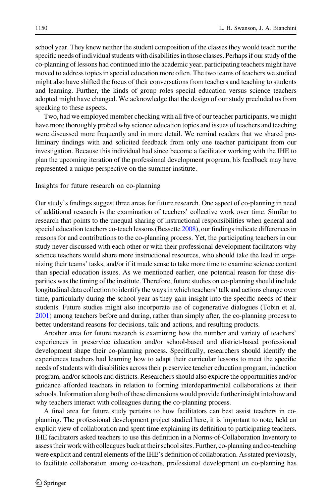school year. They knew neither the student composition of the classes they would teach nor the specific needs of individual students with disabilities in those classes. Perhaps if our study of the co-planning of lessons had continued into the academic year, participating teachers might have moved to address topics in special education more often. The two teams of teachers we studied might also have shifted the focus of their conversations from teachers and teaching to students and learning. Further, the kinds of group roles special education versus science teachers adopted might have changed. We acknowledge that the design of our study precluded us from speaking to these aspects.

Two, had we employed member checking with all five of our teacher participants, we might have more thoroughly probed why science education topics and issues of teachers and teaching were discussed more frequently and in more detail. We remind readers that we shared preliminary findings with and solicited feedback from only one teacher participant from our investigation. Because this individual had since become a facilitator working with the IHE to plan the upcoming iteration of the professional development program, his feedback may have represented a unique perspective on the summer institute.

#### Insights for future research on co-planning

Our study's findings suggest three areas for future research. One aspect of co-planning in need of additional research is the examination of teachers' collective work over time. Similar to research that points to the unequal sharing of instructional responsibilities when general and special education teachers co-teach lessons (Bessette [2008](#page-29-0)), our findings indicate differences in reasons for and contributions to the co-planning process. Yet, the participating teachers in our study never discussed with each other or with their professional development facilitators why science teachers would share more instructional resources, who should take the lead in organizing their teams' tasks, and/or if it made sense to take more time to examine science content than special education issues. As we mentioned earlier, one potential reason for these disparities was the timing of the institute. Therefore, future studies on co-planning should include longitudinal data collection to identify the ways in which teachers' talk and actions change over time, particularly during the school year as they gain insight into the specific needs of their students. Future studies might also incorporate use of cogenerative dialogues (Tobin et al. [2001](#page-30-0)) among teachers before and during, rather than simply after, the co-planning process to better understand reasons for decisions, talk and actions, and resulting products.

Another area for future research is examining how the number and variety of teachers' experiences in preservice education and/or school-based and district-based professional development shape their co-planning process. Specifically, researchers should identify the experiences teachers had learning how to adapt their curricular lessons to meet the specific needs of students with disabilities across their preservice teacher education program, induction program, and/or schools and districts. Researchers should also explore the opportunities and/or guidance afforded teachers in relation to forming interdepartmental collaborations at their schools. Information along both of these dimensions would provide furtherinsight into how and why teachers interact with colleagues during the co-planning process.

A final area for future study pertains to how facilitators can best assist teachers in coplanning. The professional development project studied here, it is important to note, held an explicit view of collaboration and spent time explaining its definition to participating teachers. IHE facilitators asked teachers to use this definition in a Norms-of-Collaboration Inventory to assess their work with colleagues back at their school sites. Further, co-planning and co-teaching were explicit and central elements of the IHE's definition of collaboration. As stated previously, to facilitate collaboration among co-teachers, professional development on co-planning has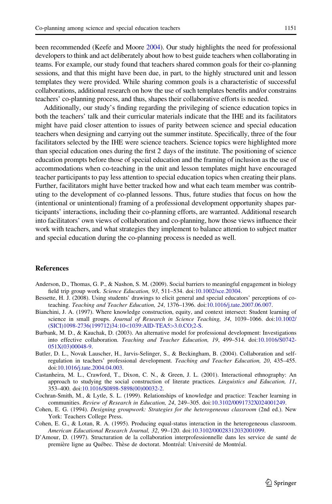<span id="page-29-0"></span>been recommended (Keefe and Moore [2004](#page-30-0)). Our study highlights the need for professional developers to think and act deliberately about how to best guide teachers when collaborating in teams. For example, our study found that teachers shared common goals for their co-planning sessions, and that this might have been due, in part, to the highly structured unit and lesson templates they were provided. While sharing common goals is a characteristic of successful collaborations, additional research on how the use of such templates benefits and/or constrains teachers' co-planning process, and thus, shapes their collaborative efforts is needed.

Additionally, our study's finding regarding the privileging of science education topics in both the teachers' talk and their curricular materials indicate that the IHE and its facilitators might have paid closer attention to issues of parity between science and special education teachers when designing and carrying out the summer institute. Specifically, three of the four facilitators selected by the IHE were science teachers. Science topics were highlighted more than special education ones during the first 2 days of the institute. The positioning of science education prompts before those of special education and the framing of inclusion as the use of accommodations when co-teaching in the unit and lesson templates might have encouraged teacher participants to pay less attention to special education topics when creating their plans. Further, facilitators might have better tracked how and what each team member was contributing to the development of co-planned lessons. Thus, future studies that focus on how the (intentional or unintentional) framing of a professional development opportunity shapes participants' interactions, including their co-planning efforts, are warranted. Additional research into facilitators' own views of collaboration and co-planning, how those views influence their work with teachers, and what strategies they implement to balance attention to subject matter and special education during the co-planning process is needed as well.

#### **References**

- Anderson, D., Thomas, G. P., & Nashon, S. M. (2009). Social barriers to meaningful engagement in biology field trip group work. Science Education, 93, 511–534. doi[:10.1002/sce.20304.](http://dx.doi.org/10.1002/sce.20304)
- Bessette, H. J. (2008). Using students' drawings to elicit general and special educators' perceptions of coteaching. Teaching and Teacher Education, 24, 1376–1396. doi:[10.1016/j.tate.2007.06.007.](http://dx.doi.org/10.1016/j.tate.2007.06.007)
- Bianchini, J. A. (1997). Where knowledge construction, equity, and context intersect: Student learning of science in small groups. Journal of Research in Science Teaching, 34, 1039–1066. doi:[10.1002/](http://dx.doi.org/10.1002/(SICI)1098-2736(199712)34:10%3c1039:AID-TEA5%3e3.0.CO;2-S) [\(SICI\)1098-2736\(199712\)34:10](http://dx.doi.org/10.1002/(SICI)1098-2736(199712)34:10%3c1039:AID-TEA5%3e3.0.CO;2-S)<1039:AID-TEA5>3.0.CO;2-S.
- Burbank, M. D., & Kauchak, D. (2003). An alternative model for professional development: Investigations into effective collaboration. Teaching and Teacher Education, 19, 499–514. doi:[10.1016/S0742-](http://dx.doi.org/10.1016/S0742-051X(03)00048-9) [051X\(03\)00048-9](http://dx.doi.org/10.1016/S0742-051X(03)00048-9).
- Butler, D. L., Novak Lauscher, H., Jarvis-Selinger, S., & Beckingham, B. (2004). Collaboration and selfregulation in teachers' professional development. Teaching and Teacher Education, 20, 435–455. doi[:10.1016/j.tate.2004.04.003.](http://dx.doi.org/10.1016/j.tate.2004.04.003)
- Castanheira, M. L., Crawford, T., Dixon, C. N., & Green, J. L. (2001). Interactional ethnography: An approach to studying the social construction of literate practices. Linguistics and Education, 11, 353–400. doi:[10.1016/S0898-5898\(00\)00032-2](http://dx.doi.org/10.1016/S0898-5898(00)00032-2).
- Cochran-Smith, M., & Lytle, S. L. (1999). Relationships of knowledge and practice: Teacher learning in communities. Review of Research in Education, 24, 249–305. doi[:10.3102/0091732X024001249.](http://dx.doi.org/10.3102/0091732X024001249)
- Cohen, E. G. (1994). Designing groupwork: Strategies for the heterogeneous classroom (2nd ed.). New York: Teachers College Press.
- Cohen, E. G., & Lotan, R. A. (1995). Producing equal-status interaction in the heterogeneous classroom. American Educational Research Journal, 32, 99–120. doi[:10.3102/00028312032001099.](http://dx.doi.org/10.3102/00028312032001099)
- D'Amour, D. (1997). Structuration de la collaboration interprofessionnelle dans les service de santé de première ligne au Québec. Thèse de doctorat. Montréal: Université de Montréal.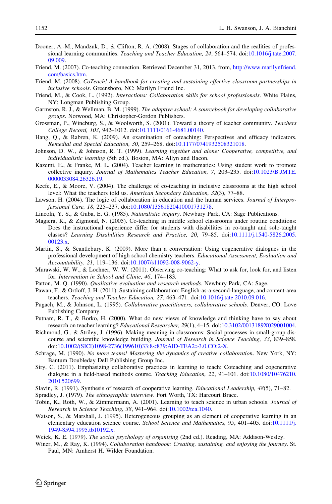- <span id="page-30-0"></span>Dooner, A.-M., Mandzuk, D., & Clifton, R. A. (2008). Stages of collaboration and the realities of professional learning communities. Teaching and Teacher Education, 24, 564–574. doi:[10.1016/j.tate.2007.](http://dx.doi.org/10.1016/j.tate.2007.09.009) [09.009.](http://dx.doi.org/10.1016/j.tate.2007.09.009)
- Friend, M. (2007). Co-teaching connection. Retrieved December 31, 2013, from, [http://www.marilynfriend.](http://www.marilynfriend.com/basics.htm) [com/basics.htm.](http://www.marilynfriend.com/basics.htm)
- Friend, M. (2008). CoTeach! A handbook for creating and sustaining effective classroom partnerships in inclusive schools. Greensboro, NC: Marilyn Friend Inc.
- Friend, M., & Cook, L. (1992). Interactions: Collaboration skills for school professionals. White Plains, NY: Longman Publishing Group.
- Garmston, R. J., & Wellman, B. M. (1999). The adaptive school: A sourcebook for developing collaborative groups. Norwood, MA: Christopher-Gordon Publishers.
- Grossman, P., Wineburg, S., & Woolworth, S. (2001). Toward a theory of teacher community. Teachers College Record, 103, 942–1012. doi[:10.1111/0161-4681.00140.](http://dx.doi.org/10.1111/0161-4681.00140)
- Hang, Q., & Rabren, K. (2009). An examination of coteaching: Perspectives and efficacy indicators. Remedial and Special Education, 30, 259–268. doi[:10.1177/0741932508321018.](http://dx.doi.org/10.1177/0741932508321018)
- Johnson, D. W., & Johnson, R. T. (1999). Learning together and alone: Cooperative, competitive, and individualistic learning (5th ed.). Boston, MA: Allyn and Bacon.
- Kazemi, E., & Franke, M. L. (2004). Teacher learning in mathematics: Using student work to promote collective inquiry. Journal of Mathematics Teacher Education, 7, 203–235. doi[:10.1023/B:JMTE.](http://dx.doi.org/10.1023/B:JMTE.0000033084.26326.19) [0000033084.26326.19](http://dx.doi.org/10.1023/B:JMTE.0000033084.26326.19).
- Keefe, E., & Moore, V. (2004). The challenge of co-teaching in inclusive classrooms at the high school level: What the teachers told us. American Secondary Education, 32(3), 77–88.
- Lawson, H. (2004). The logic of collaboration in education and the human services. *Journal of Interpro*fessional Care, 18, 225–237. doi:[10.1080/13561820410001731278](http://dx.doi.org/10.1080/13561820410001731278).
- Lincoln, Y. S., & Guba, E. G. (1985). Naturalistic inquiry. Newbury Park, CA: Sage Publications.
- Magiera, K., & Zigmond, N. (2005). Co-teaching in middle school classrooms under routine conditions: Does the instructional experience differ for students with disabilities in co-taught and solo-taught classes? Learning Disabilities Research and Practice, 20, 79–85. doi[:10.1111/j.1540-5826.2005.](http://dx.doi.org/10.1111/j.1540-5826.2005.00123.x) [00123.x.](http://dx.doi.org/10.1111/j.1540-5826.2005.00123.x)
- Martin, S., & Scantlebury, K. (2009). More than a conversation: Using cogenerative dialogues in the professional development of high school chemistry teachers. Educational Assessment, Evaluation and Accountability, 21, 119–136. doi:[10.1007/s11092-008-9062-y](http://dx.doi.org/10.1007/s11092-008-9062-y).
- Murawski, W. W., & Lochner, W. W. (2011). Observing co-teaching: What to ask for, look for, and listen for. Intervention in School and Clinic, 46, 174–183.
- Patton, M. Q. (1990). Qualitative evaluation and research methods. Newbury Park, CA: Sage.
- Pawan, F., & Ortloff, J. H. (2011). Sustaining collaboration: English-as-a-second-language, and content-area teachers. Teaching and Teacher Education, 27, 463–471. doi[:10.1016/j.tate.2010.09.016.](http://dx.doi.org/10.1016/j.tate.2010.09.016)
- Pugach, M., & Johnson, L. (1995). Collaborative practitioners, collaborative schools. Denver, CO: Love Publishing Company.
- Putnam, R. T., & Borko, H. (2000). What do new views of knowledge and thinking have to say about research on teacher learning? Educational Researcher, 29(1), 4–15. doi[:10.3102/0013189X029001004.](http://dx.doi.org/10.3102/0013189X029001004)
- Richmond, G., & Striley, J. (1996). Making meaning in classrooms: Social processes in small-group discourse and scientific knowledge building. Journal of Research in Science Teaching, 33, 839–858. doi[:10.1002/\(SICI\)1098-2736\(199610\)33:8](http://dx.doi.org/10.1002/(SICI)1098-2736(199610)33:8%3c839:AID-TEA2%3e3.0.CO;2-X)<839:AID-TEA2>3.0.CO;2-X.
- Schrage, M. (1990). No more teams! Mastering the dynamics of creative collaboration. New York, NY: Bantum Doubleday Dell Publishing Group Inc.
- Siry, C. (2011). Emphasizing collaborative practices in learning to teach: Coteaching and cogenerative dialogue in a field-based methods course. Teaching Education, 22, 91–101. doi:[10.1080/10476210.](http://dx.doi.org/10.1080/10476210.2010.520699) [2010.520699.](http://dx.doi.org/10.1080/10476210.2010.520699)
- Slavin, R. (1991). Synthesis of research of cooperative learning. Educational Leadership, 48(5), 71–82.
- Spradley, J. (1979). The ethnographic interview. Fort Worth, TX: Harcourt Brace.
- Tobin, K., Roth, W., & Zimmermann, A. (2001). Learning to teach science in urban schools. Journal of Research in Science Teaching, 38, 941–964. doi:[10.1002/tea.1040](http://dx.doi.org/10.1002/tea.1040).
- Watson, S., & Marshall, J. (1995). Heterogeneous grouping as an element of cooperative learning in an elementary education science course. School Science and Mathematics, 95, 401–405. doi[:10.1111/j.](http://dx.doi.org/10.1111/j.1949-8594.1995.tb10192.x) [1949-8594.1995.tb10192.x](http://dx.doi.org/10.1111/j.1949-8594.1995.tb10192.x).

Weick, K. E. (1979). The social psychology of organizing (2nd ed.). Reading, MA: Addison-Wesley.

Winer, M., & Ray, K. (1994). Collaboration handbook: Creating, sustaining, and enjoying the journey. St. Paul, MN: Amherst H. Wilder Foundation.